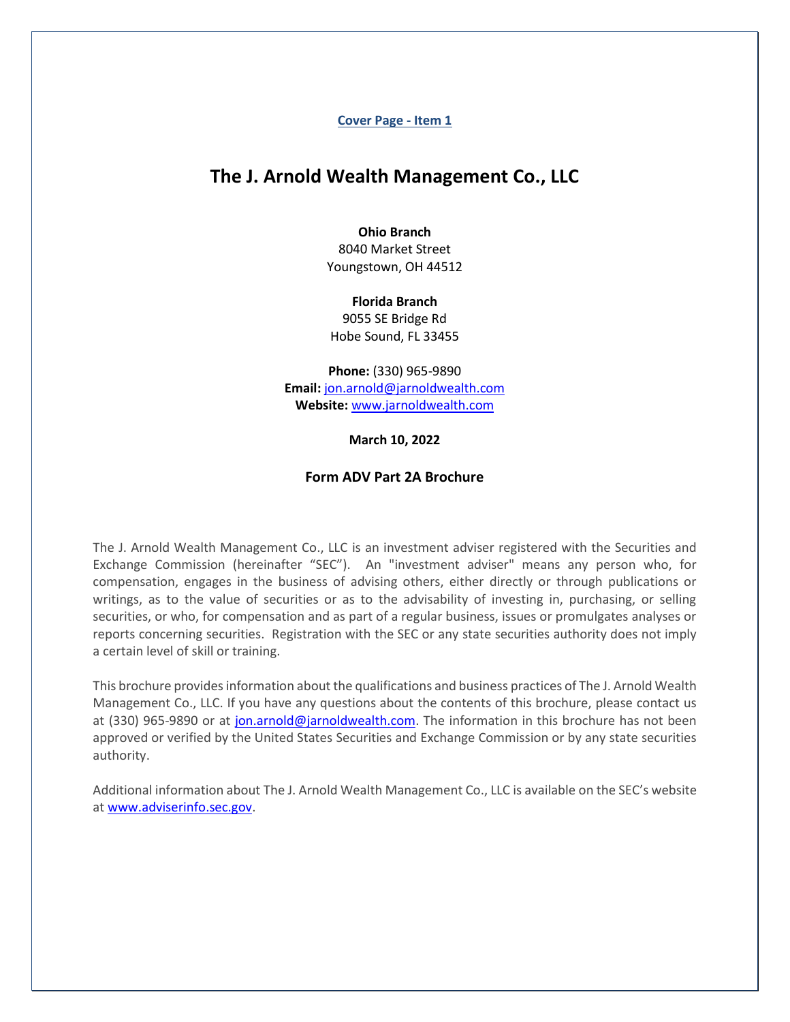**Cover Page - Item 1**

# <span id="page-0-0"></span>**The J. Arnold Wealth Management Co., LLC**

#### **Ohio Branch**

8040 Market Street Youngstown, OH 44512

#### **Florida Branch**

9055 SE Bridge Rd Hobe Sound, FL 33455

**Phone:** (330) 965-9890 **Email:** [jon.arnold@jarnoldwealth.com](mailto:jon.arnold@jarnoldwealth.com) **Website:** [www.jarnoldwealth.com](http://www.jarnoldwealth.com/)

**March 10, 2022**

# **Form ADV Part 2A Brochure**

The J. Arnold Wealth Management Co., LLC is an investment adviser registered with the Securities and Exchange Commission (hereinafter "SEC"). An "investment adviser" means any person who, for compensation, engages in the business of advising others, either directly or through publications or writings, as to the value of securities or as to the advisability of investing in, purchasing, or selling securities, or who, for compensation and as part of a regular business, issues or promulgates analyses or reports concerning securities. Registration with the SEC or any state securities authority does not imply a certain level of skill or training.

This brochure provides information about the qualifications and business practices of The J. Arnold Wealth Management Co., LLC. If you have any questions about the contents of this brochure, please contact us at (330) 965-9890 or at [jon.arnold@jarnoldwealth.com.](mailto:jon.arnold@jarnoldwealth.com) The information in this brochure has not been approved or verified by the United States Securities and Exchange Commission or by any state securities authority.

Additional information about The J. Arnold Wealth Management Co., LLC is available on the SEC's website a[t www.adviserinfo.sec.gov.](http://www.adviserinfo.sec.gov/)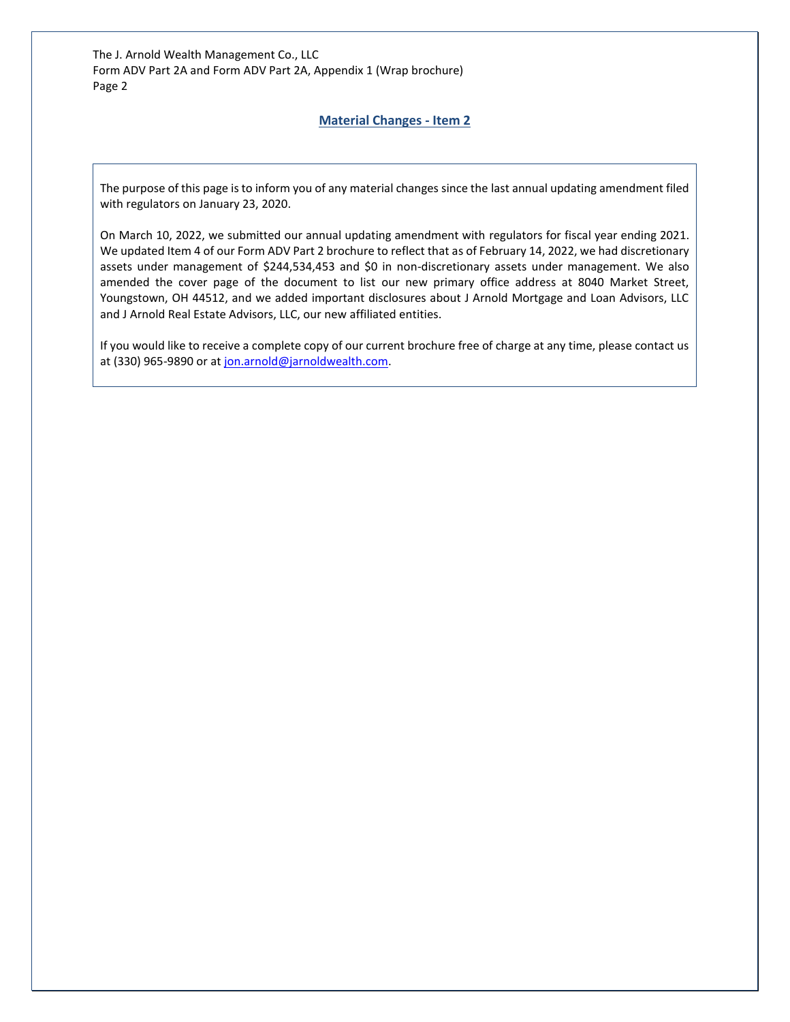# **Material Changes - Item 2**

<span id="page-1-0"></span>The purpose of this page is to inform you of any material changes since the last annual updating amendment filed with regulators on January 23, 2020.

On March 10, 2022, we submitted our annual updating amendment with regulators for fiscal year ending 2021. We updated Item 4 of our Form ADV Part 2 brochure to reflect that as of February 14, 2022, we had discretionary assets under management of \$244,534,453 and \$0 in non-discretionary assets under management. We also amended the cover page of the document to list our new primary office address at 8040 Market Street, Youngstown, OH 44512, and we added important disclosures about J Arnold Mortgage and Loan Advisors, LLC and J Arnold Real Estate Advisors, LLC, our new affiliated entities.

If you would like to receive a complete copy of our current brochure free of charge at any time, please contact us at (330) 965-9890 or at [jon.arnold@jarnoldwealth.com.](mailto:jon.arnold@jarnoldwealth.com)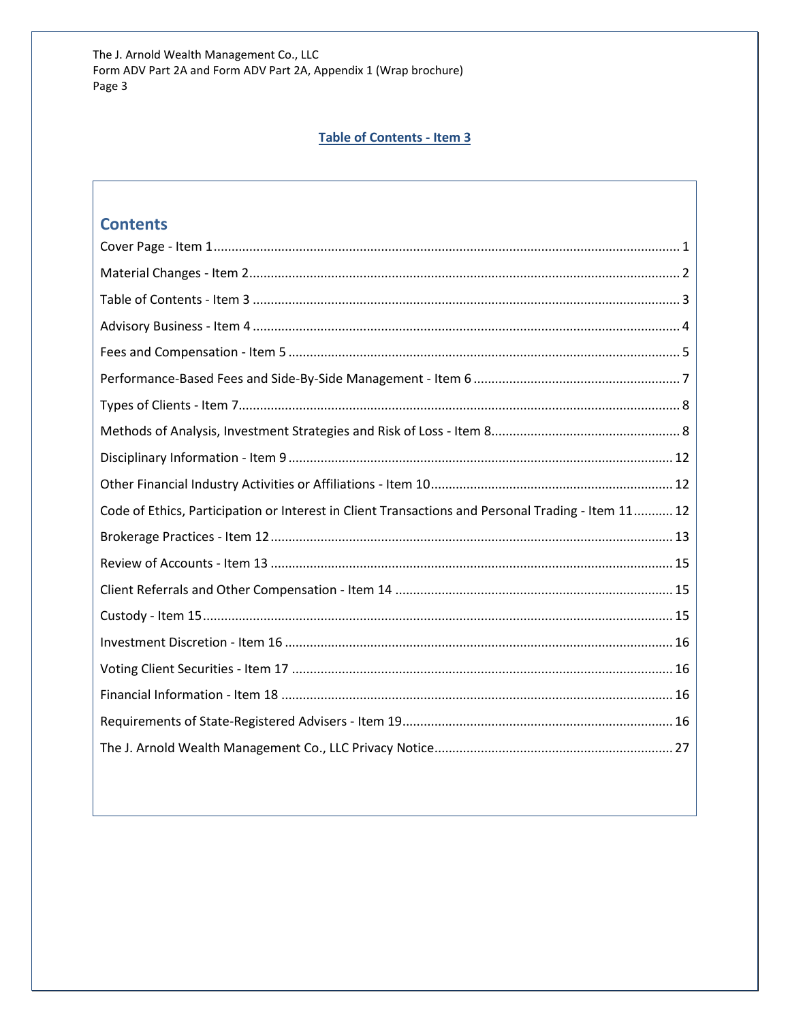# Table of Contents - Item 3

# <span id="page-2-0"></span>**Contents**

| Code of Ethics, Participation or Interest in Client Transactions and Personal Trading - Item 11 12 |
|----------------------------------------------------------------------------------------------------|
|                                                                                                    |
|                                                                                                    |
|                                                                                                    |
|                                                                                                    |
|                                                                                                    |
|                                                                                                    |
|                                                                                                    |
|                                                                                                    |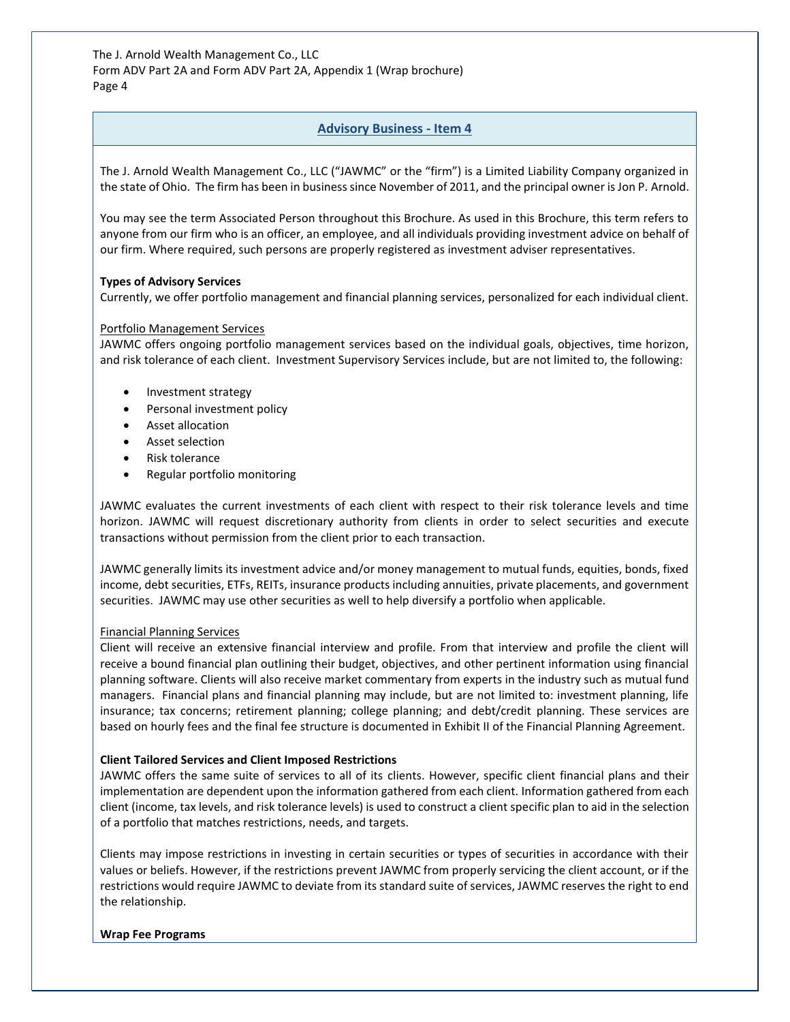# **Advisory Business - Item 4**

<span id="page-3-0"></span>The J. Arnold Wealth Management Co., LLC ("JAWMC" or the "firm") is a Limited Liability Company organized in the state of Ohio. The firm has been in business since November of 2011, and the principal owner is Jon P. Arnold.

You may see the term Associated Person throughout this Brochure. As used in this Brochure, this term refers to anyone from our firm who is an officer, an employee, and all individuals providing investment advice on behalf of our firm. Where required, such persons are properly registered as investment adviser representatives.

#### **Types of Advisory Services**

Currently, we offer portfolio management and financial planning services, personalized for each individual client.

#### Portfolio Management Services

JAWMC offers ongoing portfolio management services based on the individual goals, objectives, time horizon, and risk tolerance of each client. Investment Supervisory Services include, but are not limited to, the following:

- Investment strategy
- Personal investment policy
- Asset allocation
- Asset selection
- Risk tolerance
- Regular portfolio monitoring

JAWMC evaluates the current investments of each client with respect to their risk tolerance levels and time horizon. JAWMC will request discretionary authority from clients in order to select securities and execute transactions without permission from the client prior to each transaction.

JAWMC generally limits its investment advice and/or money management to mutual funds, equities, bonds, fixed income, debt securities, ETFs, REITs, insurance products including annuities, private placements, and government securities. JAWMC may use other securities as well to help diversify a portfolio when applicable.

#### Financial Planning Services

Client will receive an extensive financial interview and profile. From that interview and profile the client will receive a bound financial plan outlining their budget, objectives, and other pertinent information using financial planning software. Clients will also receive market commentary from experts in the industry such as mutual fund managers. Financial plans and financial planning may include, but are not limited to: investment planning, life insurance; tax concerns; retirement planning; college planning; and debt/credit planning. These services are based on hourly fees and the final fee structure is documented in Exhibit II of the Financial Planning Agreement.

## **Client Tailored Services and Client Imposed Restrictions**

JAWMC offers the same suite of services to all of its clients. However, specific client financial plans and their implementation are dependent upon the information gathered from each client. Information gathered from each client (income, tax levels, and risk tolerance levels) is used to construct a client specific plan to aid in the selection of a portfolio that matches restrictions, needs, and targets.

Clients may impose restrictions in investing in certain securities or types of securities in accordance with their values or beliefs. However, if the restrictions prevent JAWMC from properly servicing the client account, or if the restrictions would require JAWMC to deviate from its standard suite of services, JAWMC reserves the right to end the relationship.

#### **Wrap Fee Programs**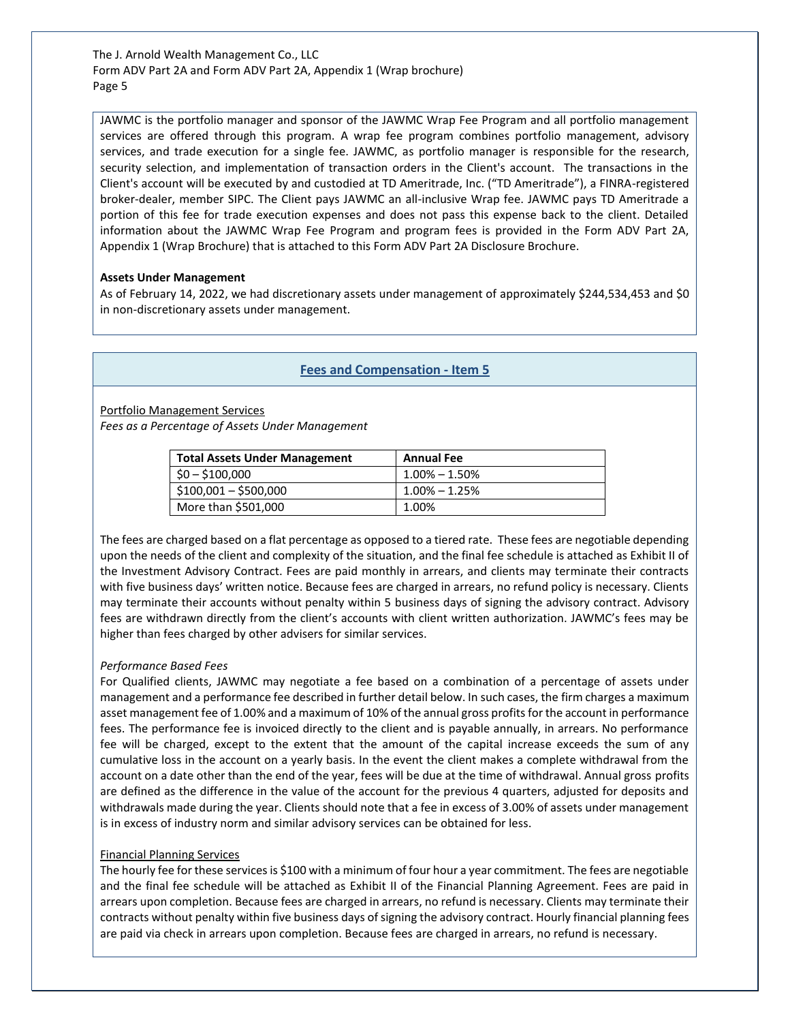JAWMC is the portfolio manager and sponsor of the JAWMC Wrap Fee Program and all portfolio management services are offered through this program. A wrap fee program combines portfolio management, advisory services, and trade execution for a single fee. JAWMC, as portfolio manager is responsible for the research, security selection, and implementation of transaction orders in the Client's account. The transactions in the Client's account will be executed by and custodied at TD Ameritrade, Inc. ("TD Ameritrade"), a FINRA-registered broker-dealer, member SIPC. The Client pays JAWMC an all-inclusive Wrap fee. JAWMC pays TD Ameritrade a portion of this fee for trade execution expenses and does not pass this expense back to the client. Detailed information about the JAWMC Wrap Fee Program and program fees is provided in the Form ADV Part 2A, Appendix 1 (Wrap Brochure) that is attached to this Form ADV Part 2A Disclosure Brochure.

#### **Assets Under Management**

As of February 14, 2022, we had discretionary assets under management of approximately \$244,534,453 and \$0 in non-discretionary assets under management.

# **Fees and Compensation - Item 5**

<span id="page-4-0"></span>Portfolio Management Services

*Fees as a Percentage of Assets Under Management*

| <b>Total Assets Under Management</b> | <b>Annual Fee</b> |
|--------------------------------------|-------------------|
| $$0 - $100,000$                      | $1.00\% - 1.50\%$ |
| $$100,001 - $500,000$                | $1.00\% - 1.25\%$ |
| More than \$501,000                  | 1.00%             |

The fees are charged based on a flat percentage as opposed to a tiered rate. These fees are negotiable depending upon the needs of the client and complexity of the situation, and the final fee schedule is attached as Exhibit II of the Investment Advisory Contract. Fees are paid monthly in arrears, and clients may terminate their contracts with five business days' written notice. Because fees are charged in arrears, no refund policy is necessary. Clients may terminate their accounts without penalty within 5 business days of signing the advisory contract. Advisory fees are withdrawn directly from the client's accounts with client written authorization. JAWMC's fees may be higher than fees charged by other advisers for similar services.

#### *Performance Based Fees*

For Qualified clients, JAWMC may negotiate a fee based on a combination of a percentage of assets under management and a performance fee described in further detail below. In such cases, the firm charges a maximum asset management fee of 1.00% and a maximum of 10% of the annual gross profits for the account in performance fees. The performance fee is invoiced directly to the client and is payable annually, in arrears. No performance fee will be charged, except to the extent that the amount of the capital increase exceeds the sum of any cumulative loss in the account on a yearly basis. In the event the client makes a complete withdrawal from the account on a date other than the end of the year, fees will be due at the time of withdrawal. Annual gross profits are defined as the difference in the value of the account for the previous 4 quarters, adjusted for deposits and withdrawals made during the year. Clients should note that a fee in excess of 3.00% of assets under management is in excess of industry norm and similar advisory services can be obtained for less.

## Financial Planning Services

The hourly fee for these services is \$100 with a minimum of four hour a year commitment. The fees are negotiable and the final fee schedule will be attached as Exhibit II of the Financial Planning Agreement. Fees are paid in arrears upon completion. Because fees are charged in arrears, no refund is necessary. Clients may terminate their contracts without penalty within five business days of signing the advisory contract. Hourly financial planning fees are paid via check in arrears upon completion. Because fees are charged in arrears, no refund is necessary.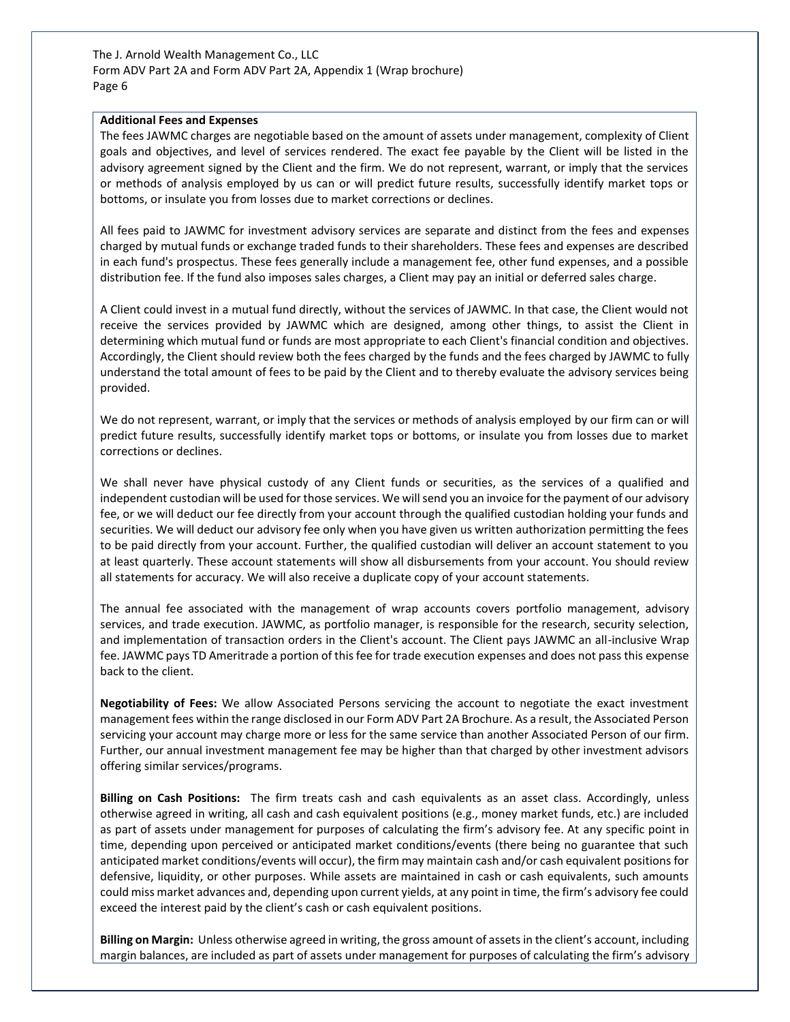#### **Additional Fees and Expenses**

The fees JAWMC charges are negotiable based on the amount of assets under management, complexity of Client goals and objectives, and level of services rendered. The exact fee payable by the Client will be listed in the advisory agreement signed by the Client and the firm. We do not represent, warrant, or imply that the services or methods of analysis employed by us can or will predict future results, successfully identify market tops or bottoms, or insulate you from losses due to market corrections or declines.

All fees paid to JAWMC for investment advisory services are separate and distinct from the fees and expenses charged by mutual funds or exchange traded funds to their shareholders. These fees and expenses are described in each fund's prospectus. These fees generally include a management fee, other fund expenses, and a possible distribution fee. If the fund also imposes sales charges, a Client may pay an initial or deferred sales charge.

A Client could invest in a mutual fund directly, without the services of JAWMC. In that case, the Client would not receive the services provided by JAWMC which are designed, among other things, to assist the Client in determining which mutual fund or funds are most appropriate to each Client's financial condition and objectives. Accordingly, the Client should review both the fees charged by the funds and the fees charged by JAWMC to fully understand the total amount of fees to be paid by the Client and to thereby evaluate the advisory services being provided.

We do not represent, warrant, or imply that the services or methods of analysis employed by our firm can or will predict future results, successfully identify market tops or bottoms, or insulate you from losses due to market corrections or declines.

We shall never have physical custody of any Client funds or securities, as the services of a qualified and independent custodian will be used for those services. We will send you an invoice for the payment of our advisory fee, or we will deduct our fee directly from your account through the qualified custodian holding your funds and securities. We will deduct our advisory fee only when you have given us written authorization permitting the fees to be paid directly from your account. Further, the qualified custodian will deliver an account statement to you at least quarterly. These account statements will show all disbursements from your account. You should review all statements for accuracy. We will also receive a duplicate copy of your account statements.

The annual fee associated with the management of wrap accounts covers portfolio management, advisory services, and trade execution. JAWMC, as portfolio manager, is responsible for the research, security selection, and implementation of transaction orders in the Client's account. The Client pays JAWMC an all-inclusive Wrap fee. JAWMC pays TD Ameritrade a portion of this fee for trade execution expenses and does not pass this expense back to the client.

**Negotiability of Fees:** We allow Associated Persons servicing the account to negotiate the exact investment management fees within the range disclosed in our Form ADV Part 2A Brochure. As a result, the Associated Person servicing your account may charge more or less for the same service than another Associated Person of our firm. Further, our annual investment management fee may be higher than that charged by other investment advisors offering similar services/programs.

**Billing on Cash Positions:** The firm treats cash and cash equivalents as an asset class. Accordingly, unless otherwise agreed in writing, all cash and cash equivalent positions (e.g., money market funds, etc.) are included as part of assets under management for purposes of calculating the firm's advisory fee. At any specific point in time, depending upon perceived or anticipated market conditions/events (there being no guarantee that such anticipated market conditions/events will occur), the firm may maintain cash and/or cash equivalent positions for defensive, liquidity, or other purposes. While assets are maintained in cash or cash equivalents, such amounts could miss market advances and, depending upon current yields, at any point in time, the firm's advisory fee could exceed the interest paid by the client's cash or cash equivalent positions.

**Billing on Margin:** Unless otherwise agreed in writing, the gross amount of assets in the client's account, including margin balances, are included as part of assets under management for purposes of calculating the firm's advisory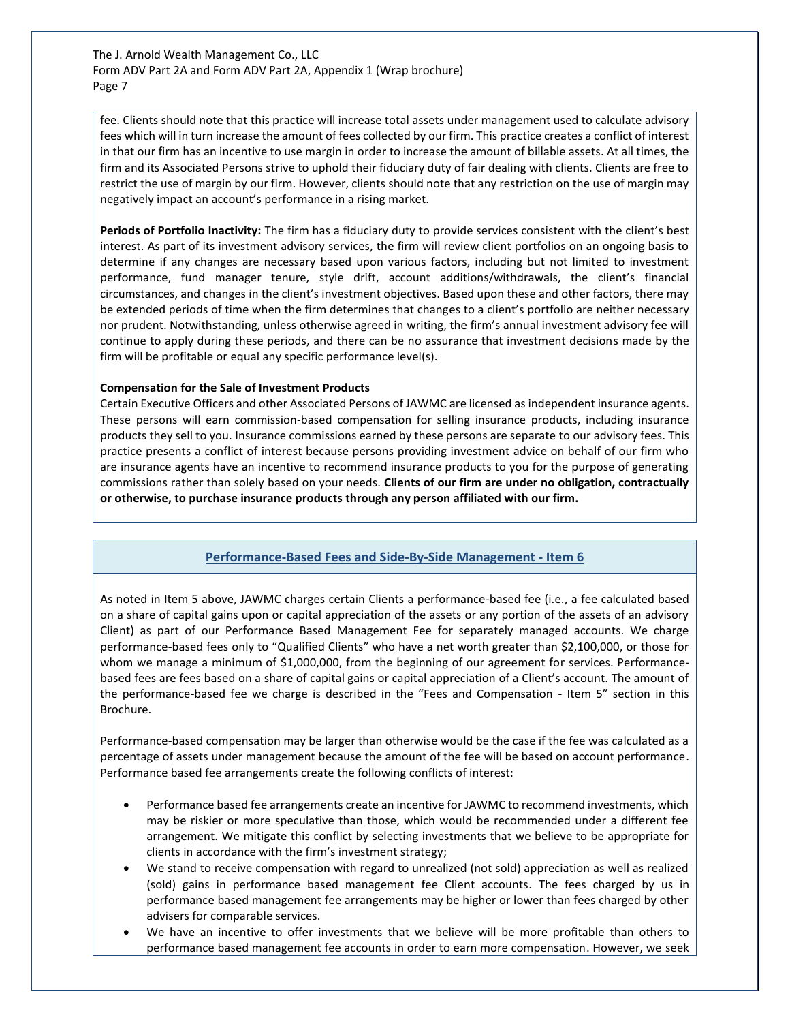fee. Clients should note that this practice will increase total assets under management used to calculate advisory fees which will in turn increase the amount of fees collected by our firm. This practice creates a conflict of interest in that our firm has an incentive to use margin in order to increase the amount of billable assets. At all times, the firm and its Associated Persons strive to uphold their fiduciary duty of fair dealing with clients. Clients are free to restrict the use of margin by our firm. However, clients should note that any restriction on the use of margin may negatively impact an account's performance in a rising market.

**Periods of Portfolio Inactivity:** The firm has a fiduciary duty to provide services consistent with the client's best interest. As part of its investment advisory services, the firm will review client portfolios on an ongoing basis to determine if any changes are necessary based upon various factors, including but not limited to investment performance, fund manager tenure, style drift, account additions/withdrawals, the client's financial circumstances, and changes in the client's investment objectives. Based upon these and other factors, there may be extended periods of time when the firm determines that changes to a client's portfolio are neither necessary nor prudent. Notwithstanding, unless otherwise agreed in writing, the firm's annual investment advisory fee will continue to apply during these periods, and there can be no assurance that investment decisions made by the firm will be profitable or equal any specific performance level(s).

#### **Compensation for the Sale of Investment Products**

Certain Executive Officers and other Associated Persons of JAWMC are licensed as independent insurance agents. These persons will earn commission-based compensation for selling insurance products, including insurance products they sell to you. Insurance commissions earned by these persons are separate to our advisory fees. This practice presents a conflict of interest because persons providing investment advice on behalf of our firm who are insurance agents have an incentive to recommend insurance products to you for the purpose of generating commissions rather than solely based on your needs. **Clients of our firm are under no obligation, contractually or otherwise, to purchase insurance products through any person affiliated with our firm.**

# **Performance-Based Fees and Side-By-Side Management - Item 6**

<span id="page-6-0"></span>As noted in Item 5 above, JAWMC charges certain Clients a performance-based fee (i.e., a fee calculated based on a share of capital gains upon or capital appreciation of the assets or any portion of the assets of an advisory Client) as part of our Performance Based Management Fee for separately managed accounts. We charge performance-based fees only to "Qualified Clients" who have a net worth greater than \$2,100,000, or those for whom we manage a minimum of \$1,000,000, from the beginning of our agreement for services. Performancebased fees are fees based on a share of capital gains or capital appreciation of a Client's account. The amount of the performance-based fee we charge is described in the "Fees and Compensation - Item 5" section in this Brochure.

Performance-based compensation may be larger than otherwise would be the case if the fee was calculated as a percentage of assets under management because the amount of the fee will be based on account performance. Performance based fee arrangements create the following conflicts of interest:

- Performance based fee arrangements create an incentive for JAWMC to recommend investments, which may be riskier or more speculative than those, which would be recommended under a different fee arrangement. We mitigate this conflict by selecting investments that we believe to be appropriate for clients in accordance with the firm's investment strategy;
- We stand to receive compensation with regard to unrealized (not sold) appreciation as well as realized (sold) gains in performance based management fee Client accounts. The fees charged by us in performance based management fee arrangements may be higher or lower than fees charged by other advisers for comparable services.
- We have an incentive to offer investments that we believe will be more profitable than others to performance based management fee accounts in order to earn more compensation. However, we seek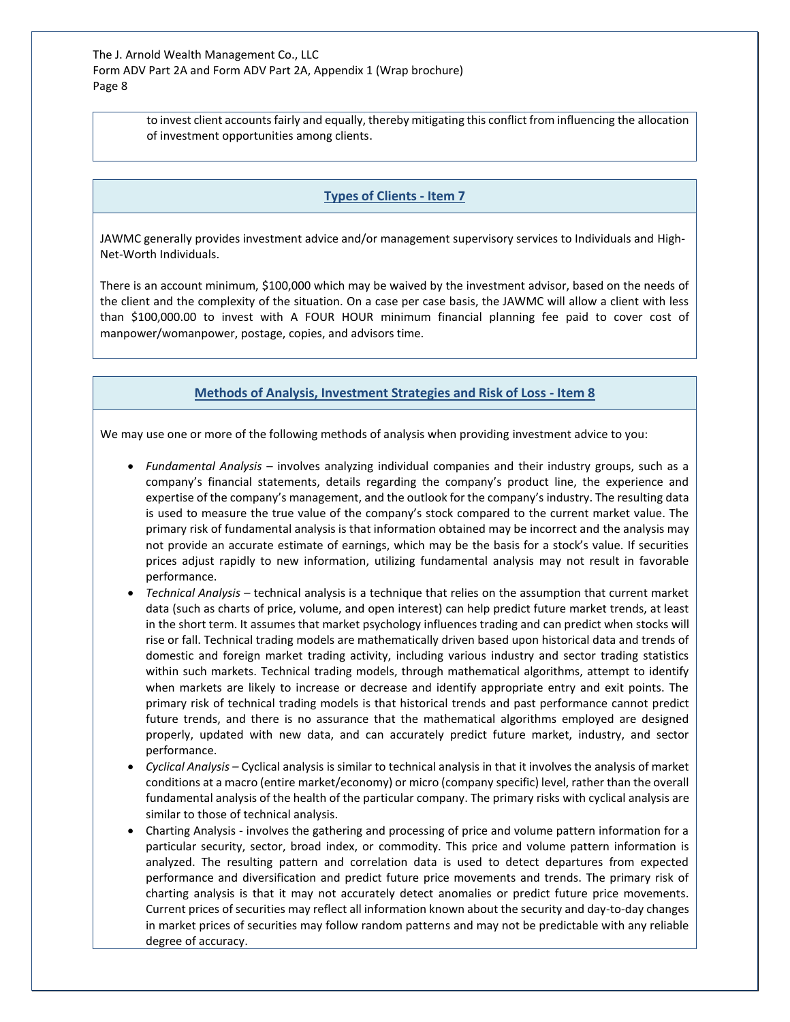> to invest client accounts fairly and equally, thereby mitigating this conflict from influencing the allocation of investment opportunities among clients.

#### **Types of Clients - Item 7**

<span id="page-7-0"></span>JAWMC generally provides investment advice and/or management supervisory services to Individuals and High-Net-Worth Individuals.

There is an account minimum, \$100,000 which may be waived by the investment advisor, based on the needs of the client and the complexity of the situation. On a case per case basis, the JAWMC will allow a client with less than \$100,000.00 to invest with A FOUR HOUR minimum financial planning fee paid to cover cost of manpower/womanpower, postage, copies, and advisors time.

# **Methods of Analysis, Investment Strategies and Risk of Loss - Item 8**

<span id="page-7-1"></span>We may use one or more of the following methods of analysis when providing investment advice to you:

- *Fundamental Analysis*  involves analyzing individual companies and their industry groups, such as a company's financial statements, details regarding the company's product line, the experience and expertise of the company's management, and the outlook for the company's industry. The resulting data is used to measure the true value of the company's stock compared to the current market value. The primary risk of fundamental analysis is that information obtained may be incorrect and the analysis may not provide an accurate estimate of earnings, which may be the basis for a stock's value. If securities prices adjust rapidly to new information, utilizing fundamental analysis may not result in favorable performance.
- *Technical Analysis –* technical analysis is a technique that relies on the assumption that current market data (such as charts of price, volume, and open interest) can help predict future market trends, at least in the short term. It assumes that market psychology influences trading and can predict when stocks will rise or fall. Technical trading models are mathematically driven based upon historical data and trends of domestic and foreign market trading activity, including various industry and sector trading statistics within such markets. Technical trading models, through mathematical algorithms, attempt to identify when markets are likely to increase or decrease and identify appropriate entry and exit points. The primary risk of technical trading models is that historical trends and past performance cannot predict future trends, and there is no assurance that the mathematical algorithms employed are designed properly, updated with new data, and can accurately predict future market, industry, and sector performance.
- *Cyclical Analysis –* Cyclical analysis is similar to technical analysis in that it involves the analysis of market conditions at a macro (entire market/economy) or micro (company specific) level, rather than the overall fundamental analysis of the health of the particular company. The primary risks with cyclical analysis are similar to those of technical analysis.
- Charting Analysis involves the gathering and processing of price and volume pattern information for a particular security, sector, broad index, or commodity. This price and volume pattern information is analyzed. The resulting pattern and correlation data is used to detect departures from expected performance and diversification and predict future price movements and trends. The primary risk of charting analysis is that it may not accurately detect anomalies or predict future price movements. Current prices of securities may reflect all information known about the security and day-to-day changes in market prices of securities may follow random patterns and may not be predictable with any reliable degree of accuracy.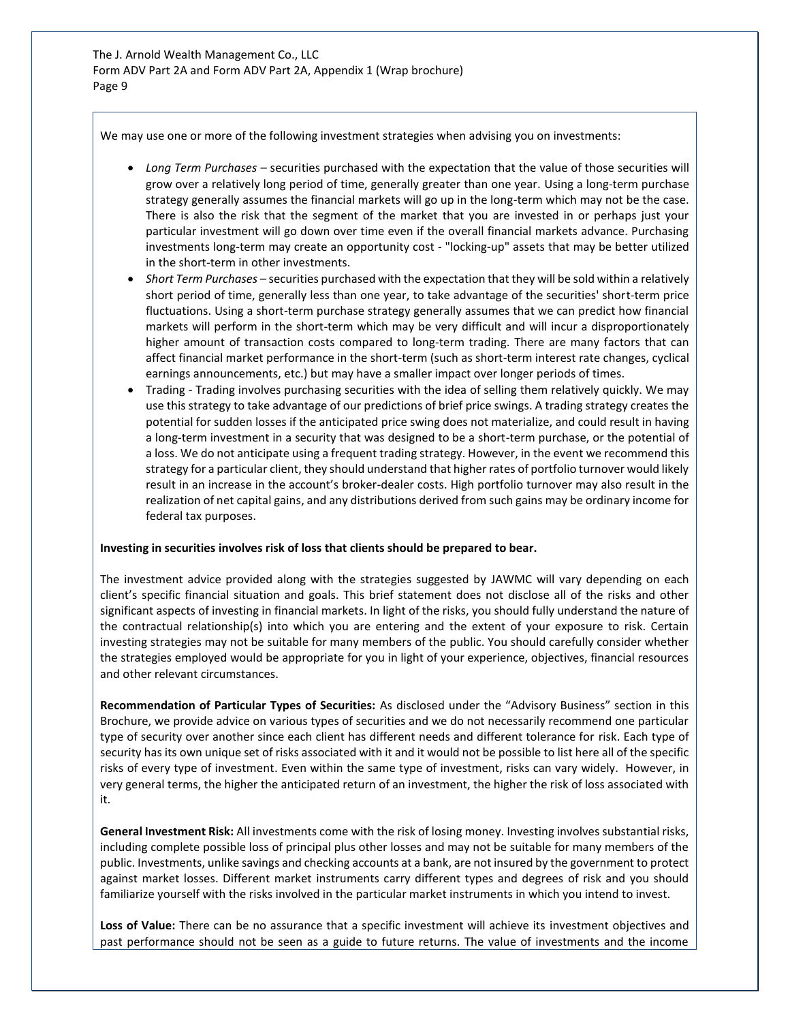We may use one or more of the following investment strategies when advising you on investments:

- *Long Term Purchases* securities purchased with the expectation that the value of those securities will grow over a relatively long period of time, generally greater than one year. Using a long-term purchase strategy generally assumes the financial markets will go up in the long-term which may not be the case. There is also the risk that the segment of the market that you are invested in or perhaps just your particular investment will go down over time even if the overall financial markets advance. Purchasing investments long-term may create an opportunity cost - "locking-up" assets that may be better utilized in the short-term in other investments.
- *Short Term Purchases* securities purchased with the expectation that they will be sold within a relatively short period of time, generally less than one year, to take advantage of the securities' short-term price fluctuations. Using a short-term purchase strategy generally assumes that we can predict how financial markets will perform in the short-term which may be very difficult and will incur a disproportionately higher amount of transaction costs compared to long-term trading. There are many factors that can affect financial market performance in the short-term (such as short-term interest rate changes, cyclical earnings announcements, etc.) but may have a smaller impact over longer periods of times.
- Trading Trading involves purchasing securities with the idea of selling them relatively quickly. We may use this strategy to take advantage of our predictions of brief price swings. A trading strategy creates the potential for sudden losses if the anticipated price swing does not materialize, and could result in having a long-term investment in a security that was designed to be a short-term purchase, or the potential of a loss. We do not anticipate using a frequent trading strategy. However, in the event we recommend this strategy for a particular client, they should understand that higher rates of portfolio turnover would likely result in an increase in the account's broker-dealer costs. High portfolio turnover may also result in the realization of net capital gains, and any distributions derived from such gains may be ordinary income for federal tax purposes.

#### **Investing in securities involves risk of loss that clients should be prepared to bear.**

The investment advice provided along with the strategies suggested by JAWMC will vary depending on each client's specific financial situation and goals. This brief statement does not disclose all of the risks and other significant aspects of investing in financial markets. In light of the risks, you should fully understand the nature of the contractual relationship(s) into which you are entering and the extent of your exposure to risk. Certain investing strategies may not be suitable for many members of the public. You should carefully consider whether the strategies employed would be appropriate for you in light of your experience, objectives, financial resources and other relevant circumstances.

**Recommendation of Particular Types of Securities:** As disclosed under the "Advisory Business" section in this Brochure, we provide advice on various types of securities and we do not necessarily recommend one particular type of security over another since each client has different needs and different tolerance for risk. Each type of security has its own unique set of risks associated with it and it would not be possible to list here all of the specific risks of every type of investment. Even within the same type of investment, risks can vary widely. However, in very general terms, the higher the anticipated return of an investment, the higher the risk of loss associated with it.

**General Investment Risk:** All investments come with the risk of losing money. Investing involves substantial risks, including complete possible loss of principal plus other losses and may not be suitable for many members of the public. Investments, unlike savings and checking accounts at a bank, are not insured by the government to protect against market losses. Different market instruments carry different types and degrees of risk and you should familiarize yourself with the risks involved in the particular market instruments in which you intend to invest.

**Loss of Value:** There can be no assurance that a specific investment will achieve its investment objectives and past performance should not be seen as a guide to future returns. The value of investments and the income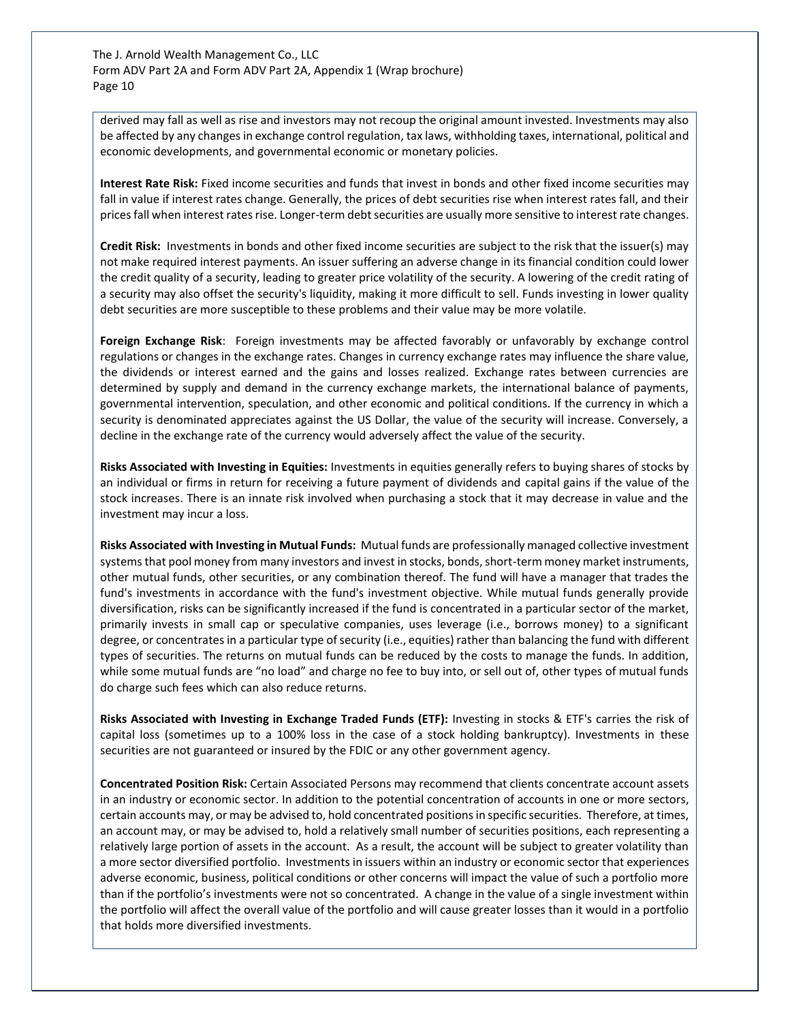derived may fall as well as rise and investors may not recoup the original amount invested. Investments may also be affected by any changes in exchange control regulation, tax laws, withholding taxes, international, political and economic developments, and governmental economic or monetary policies.

**Interest Rate Risk:** Fixed income securities and funds that invest in bonds and other fixed income securities may fall in value if interest rates change. Generally, the prices of debt securities rise when interest rates fall, and their prices fall when interest rates rise. Longer-term debt securities are usually more sensitive to interest rate changes.

**Credit Risk:** Investments in bonds and other fixed income securities are subject to the risk that the issuer(s) may not make required interest payments. An issuer suffering an adverse change in its financial condition could lower the credit quality of a security, leading to greater price volatility of the security. A lowering of the credit rating of a security may also offset the security's liquidity, making it more difficult to sell. Funds investing in lower quality debt securities are more susceptible to these problems and their value may be more volatile.

**Foreign Exchange Risk**: Foreign investments may be affected favorably or unfavorably by exchange control regulations or changes in the exchange rates. Changes in currency exchange rates may influence the share value, the dividends or interest earned and the gains and losses realized. Exchange rates between currencies are determined by supply and demand in the currency exchange markets, the international balance of payments, governmental intervention, speculation, and other economic and political conditions. If the currency in which a security is denominated appreciates against the US Dollar, the value of the security will increase. Conversely, a decline in the exchange rate of the currency would adversely affect the value of the security.

**Risks Associated with Investing in Equities:** Investments in equities generally refers to buying shares of stocks by an individual or firms in return for receiving a future payment of dividends and capital gains if the value of the stock increases. There is an innate risk involved when purchasing a stock that it may decrease in value and the investment may incur a loss.

**Risks Associated with Investing in Mutual Funds:** Mutual funds are professionally managed collective investment systems that pool money from many investors and invest in stocks, bonds, short-term money market instruments, other mutual funds, other securities, or any combination thereof. The fund will have a manager that trades the fund's investments in accordance with the fund's investment objective. While mutual funds generally provide diversification, risks can be significantly increased if the fund is concentrated in a particular sector of the market, primarily invests in small cap or speculative companies, uses leverage (i.e., borrows money) to a significant degree, or concentrates in a particular type of security (i.e., equities) rather than balancing the fund with different types of securities. The returns on mutual funds can be reduced by the costs to manage the funds. In addition, while some mutual funds are "no load" and charge no fee to buy into, or sell out of, other types of mutual funds do charge such fees which can also reduce returns.

**Risks Associated with Investing in Exchange Traded Funds (ETF):** Investing in stocks & ETF's carries the risk of capital loss (sometimes up to a 100% loss in the case of a stock holding bankruptcy). Investments in these securities are not guaranteed or insured by the FDIC or any other government agency.

**Concentrated Position Risk:** Certain Associated Persons may recommend that clients concentrate account assets in an industry or economic sector. In addition to the potential concentration of accounts in one or more sectors, certain accounts may, or may be advised to, hold concentrated positions in specific securities. Therefore, at times, an account may, or may be advised to, hold a relatively small number of securities positions, each representing a relatively large portion of assets in the account. As a result, the account will be subject to greater volatility than a more sector diversified portfolio. Investments in issuers within an industry or economic sector that experiences adverse economic, business, political conditions or other concerns will impact the value of such a portfolio more than if the portfolio's investments were not so concentrated. A change in the value of a single investment within the portfolio will affect the overall value of the portfolio and will cause greater losses than it would in a portfolio that holds more diversified investments.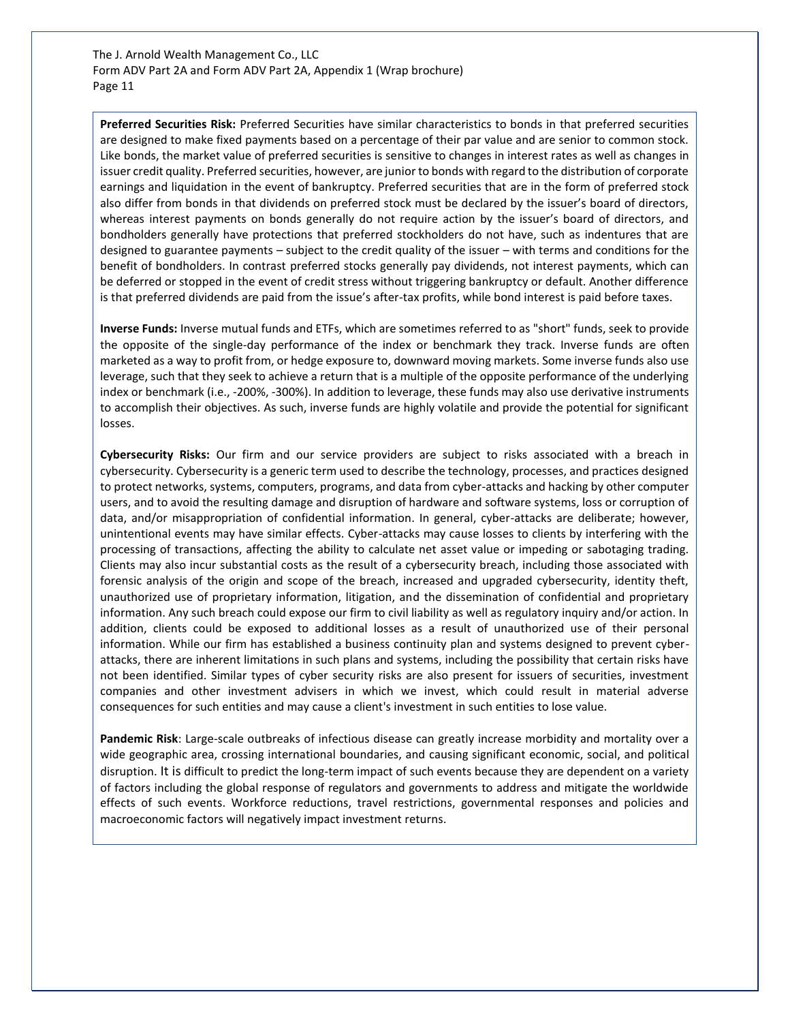**Preferred Securities Risk:** Preferred Securities have similar characteristics to bonds in that preferred securities are designed to make fixed payments based on a percentage of their par value and are senior to common stock. Like bonds, the market value of preferred securities is sensitive to changes in interest rates as well as changes in issuer credit quality. Preferred securities, however, are junior to bonds with regard to the distribution of corporate earnings and liquidation in the event of bankruptcy. Preferred securities that are in the form of preferred stock also differ from bonds in that dividends on preferred stock must be declared by the issuer's board of directors, whereas interest payments on bonds generally do not require action by the issuer's board of directors, and bondholders generally have protections that preferred stockholders do not have, such as indentures that are designed to guarantee payments – subject to the credit quality of the issuer – with terms and conditions for the benefit of bondholders. In contrast preferred stocks generally pay dividends, not interest payments, which can be deferred or stopped in the event of credit stress without triggering bankruptcy or default. Another difference is that preferred dividends are paid from the issue's after-tax profits, while bond interest is paid before taxes.

**Inverse Funds:** Inverse mutual funds and ETFs, which are sometimes referred to as "short" funds, seek to provide the opposite of the single-day performance of the index or benchmark they track. Inverse funds are often marketed as a way to profit from, or hedge exposure to, downward moving markets. Some inverse funds also use leverage, such that they seek to achieve a return that is a multiple of the opposite performance of the underlying index or benchmark (i.e., -200%, -300%). In addition to leverage, these funds may also use derivative instruments to accomplish their objectives. As such, inverse funds are highly volatile and provide the potential for significant losses.

**Cybersecurity Risks:** Our firm and our service providers are subject to risks associated with a breach in cybersecurity. Cybersecurity is a generic term used to describe the technology, processes, and practices designed to protect networks, systems, computers, programs, and data from cyber-attacks and hacking by other computer users, and to avoid the resulting damage and disruption of hardware and software systems, loss or corruption of data, and/or misappropriation of confidential information. In general, cyber-attacks are deliberate; however, unintentional events may have similar effects. Cyber-attacks may cause losses to clients by interfering with the processing of transactions, affecting the ability to calculate net asset value or impeding or sabotaging trading. Clients may also incur substantial costs as the result of a cybersecurity breach, including those associated with forensic analysis of the origin and scope of the breach, increased and upgraded cybersecurity, identity theft, unauthorized use of proprietary information, litigation, and the dissemination of confidential and proprietary information. Any such breach could expose our firm to civil liability as well as regulatory inquiry and/or action. In addition, clients could be exposed to additional losses as a result of unauthorized use of their personal information. While our firm has established a business continuity plan and systems designed to prevent cyberattacks, there are inherent limitations in such plans and systems, including the possibility that certain risks have not been identified. Similar types of cyber security risks are also present for issuers of securities, investment companies and other investment advisers in which we invest, which could result in material adverse consequences for such entities and may cause a client's investment in such entities to lose value.

**Pandemic Risk**: Large-scale outbreaks of infectious disease can greatly increase morbidity and mortality over a wide geographic area, crossing international boundaries, and causing significant economic, social, and political disruption. It is difficult to predict the long-term impact of such events because they are dependent on a variety of factors including the global response of regulators and governments to address and mitigate the worldwide effects of such events. Workforce reductions, travel restrictions, governmental responses and policies and macroeconomic factors will negatively impact investment returns.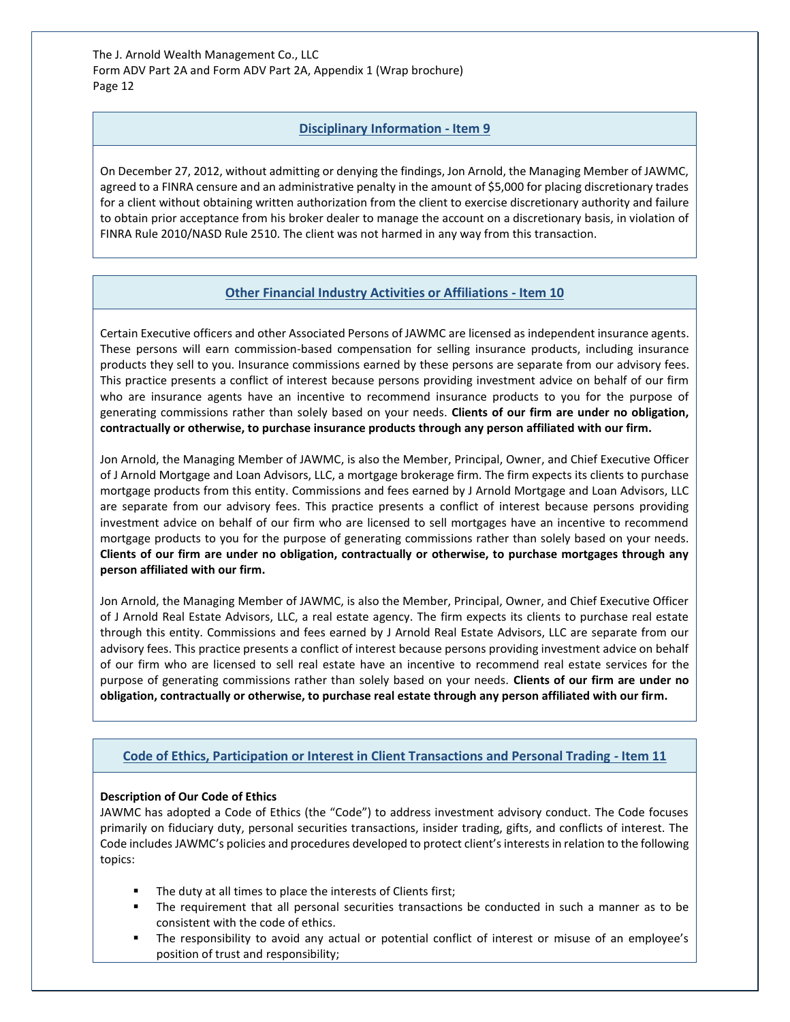# **Disciplinary Information - Item 9**

<span id="page-11-0"></span>On December 27, 2012, without admitting or denying the findings, Jon Arnold, the Managing Member of JAWMC, agreed to a FINRA censure and an administrative penalty in the amount of \$5,000 for placing discretionary trades for a client without obtaining written authorization from the client to exercise discretionary authority and failure to obtain prior acceptance from his broker dealer to manage the account on a discretionary basis, in violation of FINRA Rule 2010/NASD Rule 2510. The client was not harmed in any way from this transaction.

# **Other Financial Industry Activities or Affiliations - Item 10**

<span id="page-11-1"></span>Certain Executive officers and other Associated Persons of JAWMC are licensed as independent insurance agents. These persons will earn commission-based compensation for selling insurance products, including insurance products they sell to you. Insurance commissions earned by these persons are separate from our advisory fees. This practice presents a conflict of interest because persons providing investment advice on behalf of our firm who are insurance agents have an incentive to recommend insurance products to you for the purpose of generating commissions rather than solely based on your needs. **Clients of our firm are under no obligation, contractually or otherwise, to purchase insurance products through any person affiliated with our firm.**

Jon Arnold, the Managing Member of JAWMC, is also the Member, Principal, Owner, and Chief Executive Officer of J Arnold Mortgage and Loan Advisors, LLC, a mortgage brokerage firm. The firm expects its clients to purchase mortgage products from this entity. Commissions and fees earned by J Arnold Mortgage and Loan Advisors, LLC are separate from our advisory fees. This practice presents a conflict of interest because persons providing investment advice on behalf of our firm who are licensed to sell mortgages have an incentive to recommend mortgage products to you for the purpose of generating commissions rather than solely based on your needs. **Clients of our firm are under no obligation, contractually or otherwise, to purchase mortgages through any person affiliated with our firm.**

Jon Arnold, the Managing Member of JAWMC, is also the Member, Principal, Owner, and Chief Executive Officer of J Arnold Real Estate Advisors, LLC, a real estate agency. The firm expects its clients to purchase real estate through this entity. Commissions and fees earned by J Arnold Real Estate Advisors, LLC are separate from our advisory fees. This practice presents a conflict of interest because persons providing investment advice on behalf of our firm who are licensed to sell real estate have an incentive to recommend real estate services for the purpose of generating commissions rather than solely based on your needs. **Clients of our firm are under no obligation, contractually or otherwise, to purchase real estate through any person affiliated with our firm.**

## <span id="page-11-2"></span>**Code of Ethics, Participation or Interest in Client Transactions and Personal Trading - Item 11**

## **Description of Our Code of Ethics**

JAWMC has adopted a Code of Ethics (the "Code") to address investment advisory conduct. The Code focuses primarily on fiduciary duty, personal securities transactions, insider trading, gifts, and conflicts of interest. The Code includes JAWMC's policies and procedures developed to protect client's interests in relation to the following topics:

- The duty at all times to place the interests of Clients first;
- The requirement that all personal securities transactions be conducted in such a manner as to be consistent with the code of ethics.
- The responsibility to avoid any actual or potential conflict of interest or misuse of an employee's position of trust and responsibility;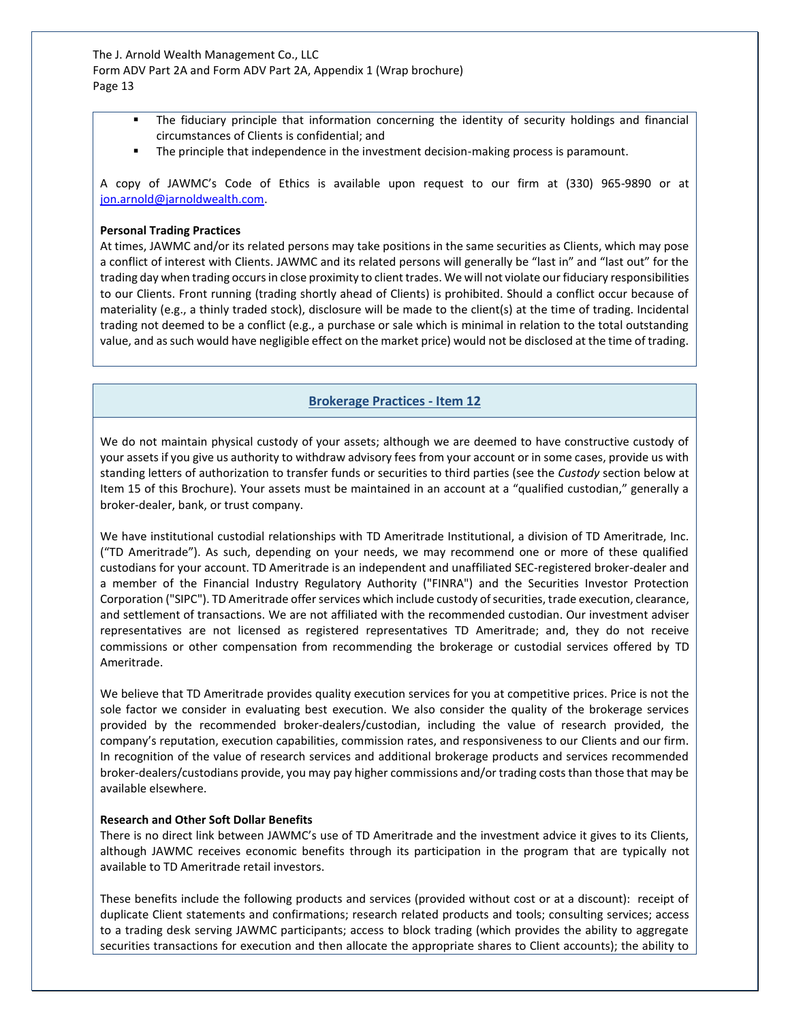- The fiduciary principle that information concerning the identity of security holdings and financial circumstances of Clients is confidential; and
- **•** The principle that independence in the investment decision-making process is paramount.

A copy of JAWMC's Code of Ethics is available upon request to our firm at (330) 965-9890 or at [jon.arnold@jarnoldwealth.com.](mailto:jon.arnold@jarnoldwealth.com)

#### **Personal Trading Practices**

At times, JAWMC and/or its related persons may take positions in the same securities as Clients, which may pose a conflict of interest with Clients. JAWMC and its related persons will generally be "last in" and "last out" for the trading day when trading occurs in close proximity to client trades. We will not violate our fiduciary responsibilities to our Clients. Front running (trading shortly ahead of Clients) is prohibited. Should a conflict occur because of materiality (e.g., a thinly traded stock), disclosure will be made to the client(s) at the time of trading. Incidental trading not deemed to be a conflict (e.g., a purchase or sale which is minimal in relation to the total outstanding value, and as such would have negligible effect on the market price) would not be disclosed at the time of trading.

# **Brokerage Practices - Item 12**

<span id="page-12-0"></span>We do not maintain physical custody of your assets; although we are deemed to have constructive custody of your assets if you give us authority to withdraw advisory fees from your account or in some cases, provide us with standing letters of authorization to transfer funds or securities to third parties (see the *Custody* section below at Item 15 of this Brochure). Your assets must be maintained in an account at a "qualified custodian," generally a broker-dealer, bank, or trust company.

We have institutional custodial relationships with TD Ameritrade Institutional, a division of TD Ameritrade, Inc. ("TD Ameritrade"). As such, depending on your needs, we may recommend one or more of these qualified custodians for your account. TD Ameritrade is an independent and unaffiliated SEC-registered broker-dealer and a member of the Financial Industry Regulatory Authority ("FINRA") and the Securities Investor Protection Corporation ("SIPC"). TD Ameritrade offer services which include custody of securities, trade execution, clearance, and settlement of transactions. We are not affiliated with the recommended custodian. Our investment adviser representatives are not licensed as registered representatives TD Ameritrade; and, they do not receive commissions or other compensation from recommending the brokerage or custodial services offered by TD Ameritrade.

We believe that TD Ameritrade provides quality execution services for you at competitive prices. Price is not the sole factor we consider in evaluating best execution. We also consider the quality of the brokerage services provided by the recommended broker-dealers/custodian, including the value of research provided, the company's reputation, execution capabilities, commission rates, and responsiveness to our Clients and our firm. In recognition of the value of research services and additional brokerage products and services recommended broker-dealers/custodians provide, you may pay higher commissions and/or trading costs than those that may be available elsewhere.

#### **Research and Other Soft Dollar Benefits**

There is no direct link between JAWMC's use of TD Ameritrade and the investment advice it gives to its Clients, although JAWMC receives economic benefits through its participation in the program that are typically not available to TD Ameritrade retail investors.

These benefits include the following products and services (provided without cost or at a discount): receipt of duplicate Client statements and confirmations; research related products and tools; consulting services; access to a trading desk serving JAWMC participants; access to block trading (which provides the ability to aggregate securities transactions for execution and then allocate the appropriate shares to Client accounts); the ability to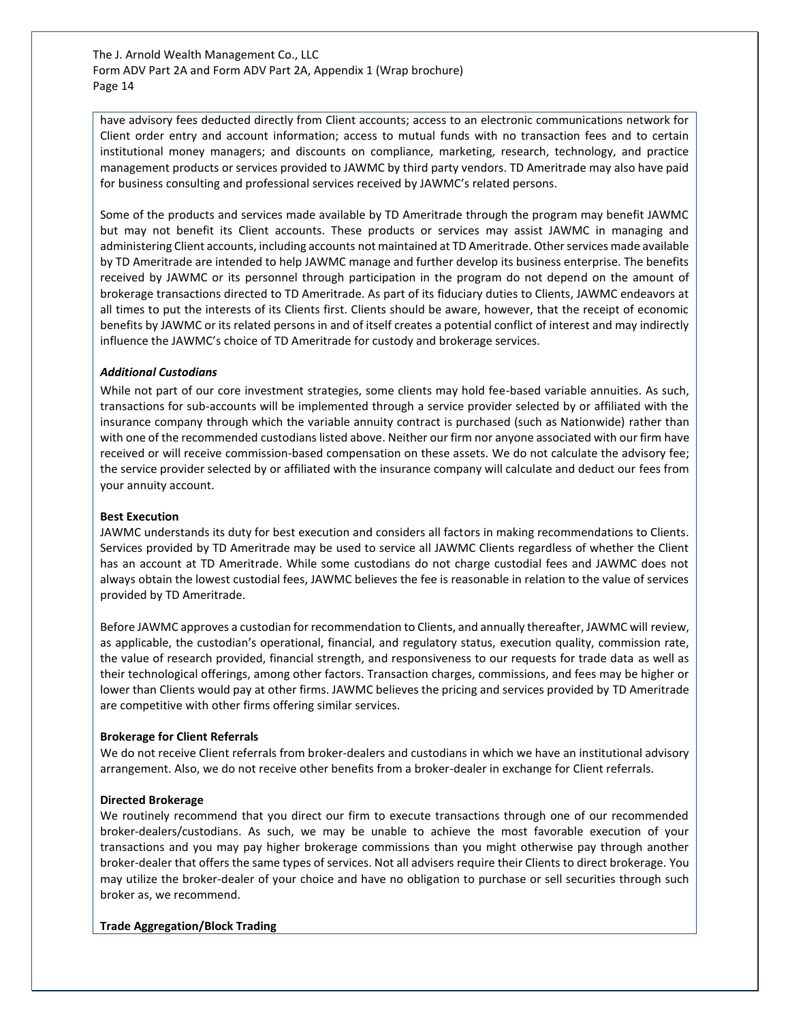have advisory fees deducted directly from Client accounts; access to an electronic communications network for Client order entry and account information; access to mutual funds with no transaction fees and to certain institutional money managers; and discounts on compliance, marketing, research, technology, and practice management products or services provided to JAWMC by third party vendors. TD Ameritrade may also have paid for business consulting and professional services received by JAWMC's related persons.

Some of the products and services made available by TD Ameritrade through the program may benefit JAWMC but may not benefit its Client accounts. These products or services may assist JAWMC in managing and administering Client accounts, including accounts not maintained at TD Ameritrade. Other services made available by TD Ameritrade are intended to help JAWMC manage and further develop its business enterprise. The benefits received by JAWMC or its personnel through participation in the program do not depend on the amount of brokerage transactions directed to TD Ameritrade. As part of its fiduciary duties to Clients, JAWMC endeavors at all times to put the interests of its Clients first. Clients should be aware, however, that the receipt of economic benefits by JAWMC or its related persons in and of itself creates a potential conflict of interest and may indirectly influence the JAWMC's choice of TD Ameritrade for custody and brokerage services.

#### *Additional Custodians*

While not part of our core investment strategies, some clients may hold fee-based variable annuities. As such, transactions for sub-accounts will be implemented through a service provider selected by or affiliated with the insurance company through which the variable annuity contract is purchased (such as Nationwide) rather than with one of the recommended custodians listed above. Neither our firm nor anyone associated with our firm have received or will receive commission-based compensation on these assets. We do not calculate the advisory fee; the service provider selected by or affiliated with the insurance company will calculate and deduct our fees from your annuity account.

#### **Best Execution**

JAWMC understands its duty for best execution and considers all factors in making recommendations to Clients. Services provided by TD Ameritrade may be used to service all JAWMC Clients regardless of whether the Client has an account at TD Ameritrade. While some custodians do not charge custodial fees and JAWMC does not always obtain the lowest custodial fees, JAWMC believes the fee is reasonable in relation to the value of services provided by TD Ameritrade.

Before JAWMC approves a custodian for recommendation to Clients, and annually thereafter, JAWMC will review, as applicable, the custodian's operational, financial, and regulatory status, execution quality, commission rate, the value of research provided, financial strength, and responsiveness to our requests for trade data as well as their technological offerings, among other factors. Transaction charges, commissions, and fees may be higher or lower than Clients would pay at other firms. JAWMC believes the pricing and services provided by TD Ameritrade are competitive with other firms offering similar services.

#### **Brokerage for Client Referrals**

We do not receive Client referrals from broker-dealers and custodians in which we have an institutional advisory arrangement. Also, we do not receive other benefits from a broker-dealer in exchange for Client referrals.

#### **Directed Brokerage**

We routinely recommend that you direct our firm to execute transactions through one of our recommended broker-dealers/custodians. As such, we may be unable to achieve the most favorable execution of your transactions and you may pay higher brokerage commissions than you might otherwise pay through another broker-dealer that offers the same types of services. Not all advisers require their Clients to direct brokerage. You may utilize the broker-dealer of your choice and have no obligation to purchase or sell securities through such broker as, we recommend.

#### **Trade Aggregation/Block Trading**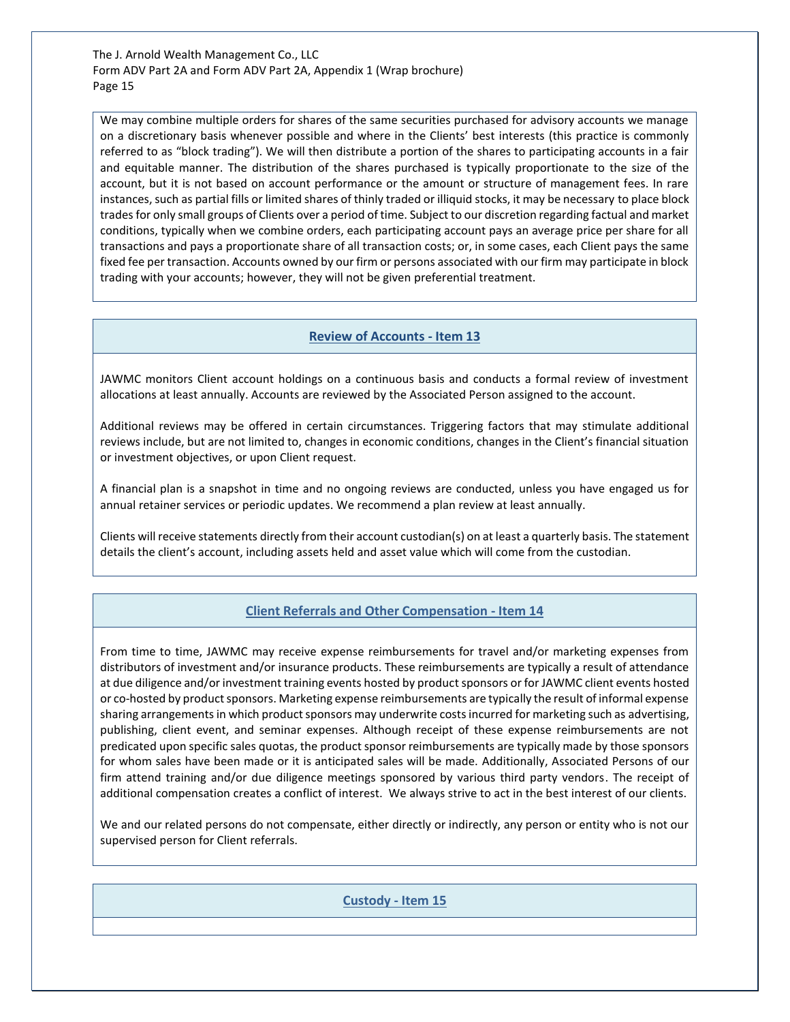We may combine multiple orders for shares of the same securities purchased for advisory accounts we manage on a discretionary basis whenever possible and where in the Clients' best interests (this practice is commonly referred to as "block trading"). We will then distribute a portion of the shares to participating accounts in a fair and equitable manner. The distribution of the shares purchased is typically proportionate to the size of the account, but it is not based on account performance or the amount or structure of management fees. In rare instances, such as partial fills or limited shares of thinly traded or illiquid stocks, it may be necessary to place block trades for only small groups of Clients over a period of time. Subject to our discretion regarding factual and market conditions, typically when we combine orders, each participating account pays an average price per share for all transactions and pays a proportionate share of all transaction costs; or, in some cases, each Client pays the same fixed fee per transaction. Accounts owned by our firm or persons associated with our firm may participate in block trading with your accounts; however, they will not be given preferential treatment.

#### **Review of Accounts - Item 13**

<span id="page-14-0"></span>JAWMC monitors Client account holdings on a continuous basis and conducts a formal review of investment allocations at least annually. Accounts are reviewed by the Associated Person assigned to the account.

Additional reviews may be offered in certain circumstances. Triggering factors that may stimulate additional reviews include, but are not limited to, changes in economic conditions, changes in the Client's financial situation or investment objectives, or upon Client request.

A financial plan is a snapshot in time and no ongoing reviews are conducted, unless you have engaged us for annual retainer services or periodic updates. We recommend a plan review at least annually.

Clients will receive statements directly from their account custodian(s) on at least a quarterly basis. The statement details the client's account, including assets held and asset value which will come from the custodian.

# **Client Referrals and Other Compensation - Item 14**

<span id="page-14-1"></span>From time to time, JAWMC may receive expense reimbursements for travel and/or marketing expenses from distributors of investment and/or insurance products. These reimbursements are typically a result of attendance at due diligence and/or investment training events hosted by product sponsors or for JAWMC client events hosted or co-hosted by product sponsors. Marketing expense reimbursements are typically the result of informal expense sharing arrangements in which product sponsors may underwrite costs incurred for marketing such as advertising, publishing, client event, and seminar expenses. Although receipt of these expense reimbursements are not predicated upon specific sales quotas, the product sponsor reimbursements are typically made by those sponsors for whom sales have been made or it is anticipated sales will be made. Additionally, Associated Persons of our firm attend training and/or due diligence meetings sponsored by various third party vendors. The receipt of additional compensation creates a conflict of interest. We always strive to act in the best interest of our clients.

<span id="page-14-2"></span>We and our related persons do not compensate, either directly or indirectly, any person or entity who is not our supervised person for Client referrals.

**Custody - Item 15**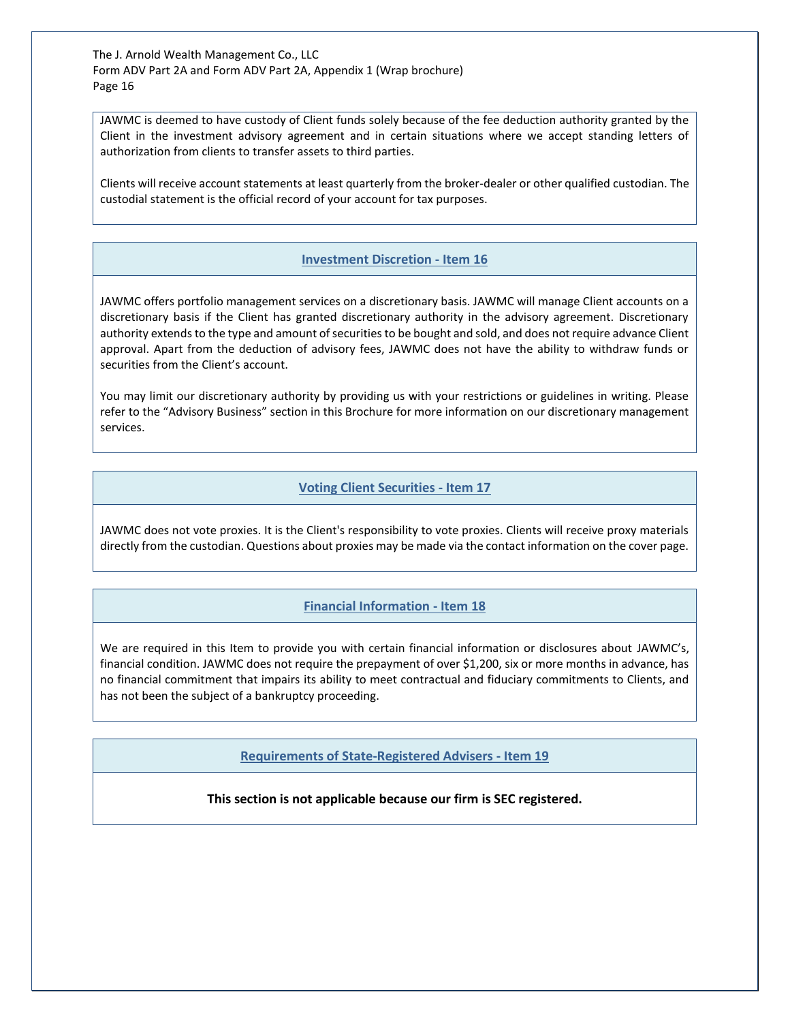JAWMC is deemed to have custody of Client funds solely because of the fee deduction authority granted by the Client in the investment advisory agreement and in certain situations where we accept standing letters of authorization from clients to transfer assets to third parties.

Clients will receive account statements at least quarterly from the broker-dealer or other qualified custodian. The custodial statement is the official record of your account for tax purposes.

# **Investment Discretion - Item 16**

<span id="page-15-0"></span>JAWMC offers portfolio management services on a discretionary basis. JAWMC will manage Client accounts on a discretionary basis if the Client has granted discretionary authority in the advisory agreement. Discretionary authority extends to the type and amount of securities to be bought and sold, and does not require advance Client approval. Apart from the deduction of advisory fees, JAWMC does not have the ability to withdraw funds or securities from the Client's account.

You may limit our discretionary authority by providing us with your restrictions or guidelines in writing. Please refer to the "Advisory Business" section in this Brochure for more information on our discretionary management services.

## **Voting Client Securities - Item 17**

<span id="page-15-1"></span>JAWMC does not vote proxies. It is the Client's responsibility to vote proxies. Clients will receive proxy materials directly from the custodian. Questions about proxies may be made via the contact information on the cover page.

# **Financial Information - Item 18**

<span id="page-15-3"></span><span id="page-15-2"></span>We are required in this Item to provide you with certain financial information or disclosures about JAWMC's, financial condition. JAWMC does not require the prepayment of over \$1,200, six or more months in advance, has no financial commitment that impairs its ability to meet contractual and fiduciary commitments to Clients, and has not been the subject of a bankruptcy proceeding.

**Requirements of State-Registered Advisers - Item 19**

## **This section is not applicable because our firm is SEC registered.**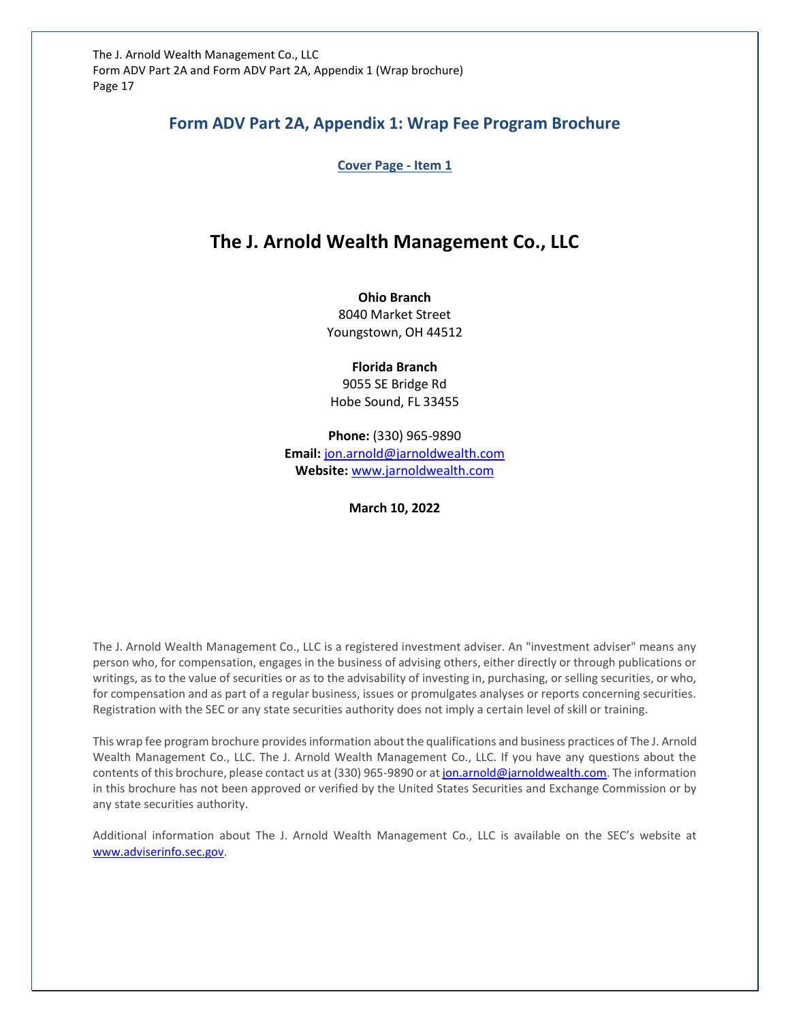# **Form ADV Part 2A, Appendix 1: Wrap Fee Program Brochure**

**Cover Page - Item 1**

# **The J. Arnold Wealth Management Co., LLC**

**Ohio Branch** 8040 Market Street Youngstown, OH 44512

**Florida Branch** 9055 SE Bridge Rd Hobe Sound, FL 33455

**Phone:** (330) 965-9890 **Email:** [jon.arnold@jarnoldwealth.com](mailto:jon.arnold@jarnoldwealth.com) **Website:** [www.jarnoldwealth.com](http://www.jarnoldwealth.com/)

**March 10, 2022**

The J. Arnold Wealth Management Co., LLC is a registered investment adviser. An "investment adviser" means any person who, for compensation, engages in the business of advising others, either directly or through publications or writings, as to the value of securities or as to the advisability of investing in, purchasing, or selling securities, or who, for compensation and as part of a regular business, issues or promulgates analyses or reports concerning securities. Registration with the SEC or any state securities authority does not imply a certain level of skill or training.

This wrap fee program brochure provides information about the qualifications and business practices of The J. Arnold Wealth Management Co., LLC. The J. Arnold Wealth Management Co., LLC. If you have any questions about the contents of this brochure, please contact us at (330) 965-9890 or a[t jon.arnold@jarnoldwealth.com.](mailto:jon.arnold@jarnoldwealth.com) The information in this brochure has not been approved or verified by the United States Securities and Exchange Commission or by any state securities authority.

Additional information about The J. Arnold Wealth Management Co., LLC is available on the SEC's website at [www.adviserinfo.sec.gov.](http://www.adviserinfo.sec.gov/)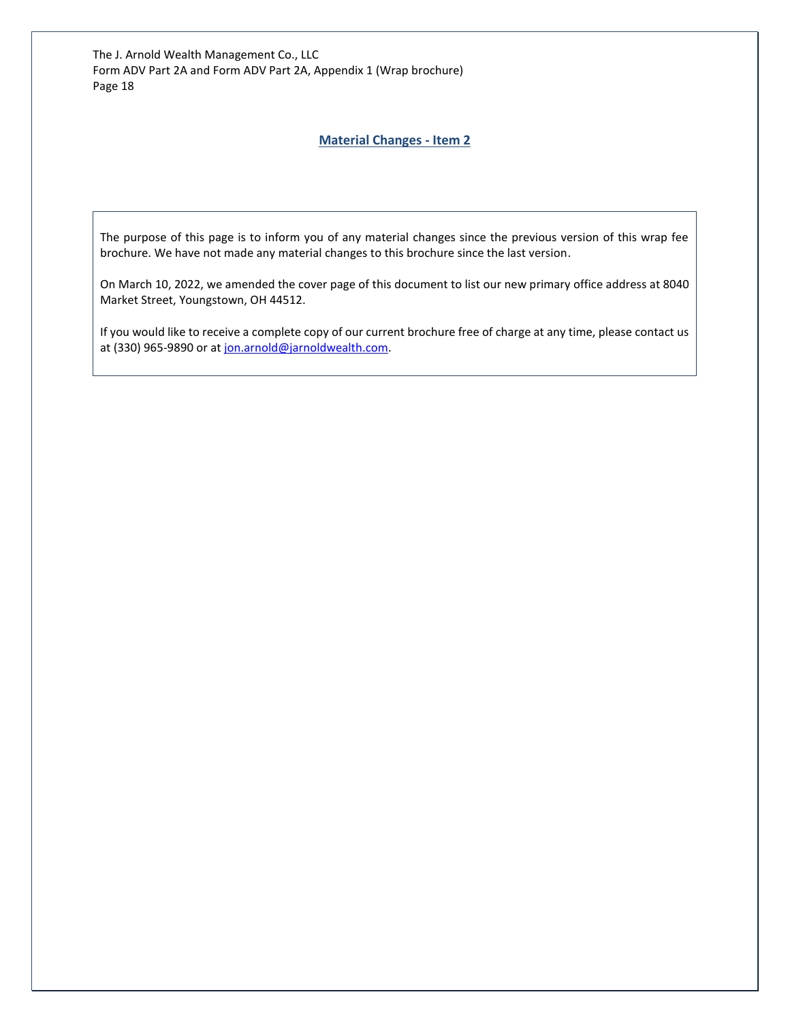### **Material Changes - Item 2**

The purpose of this page is to inform you of any material changes since the previous version of this wrap fee brochure. We have not made any material changes to this brochure since the last version.

On March 10, 2022, we amended the cover page of this document to list our new primary office address at 8040 Market Street, Youngstown, OH 44512.

If you would like to receive a complete copy of our current brochure free of charge at any time, please contact us at (330) 965-9890 or at [jon.arnold@jarnoldwealth.com.](mailto:jon.arnold@jarnoldwealth.com)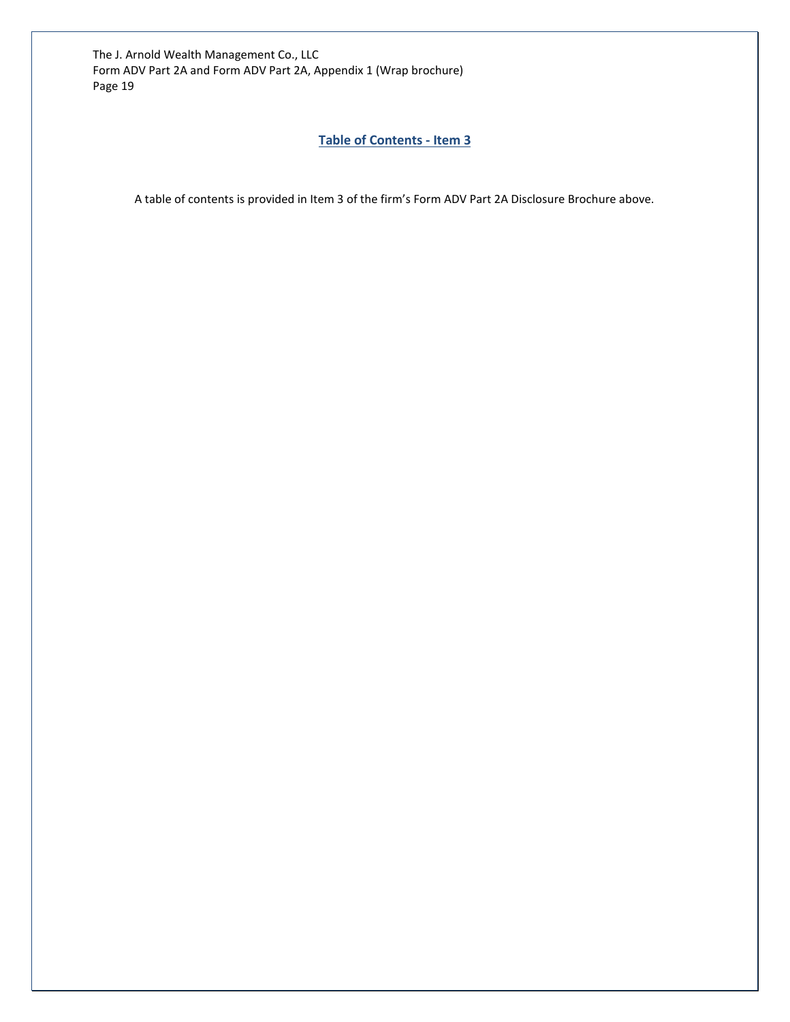# **Table of Contents - Item 3**

A table of contents is provided in Item 3 of the firm's Form ADV Part 2A Disclosure Brochure above.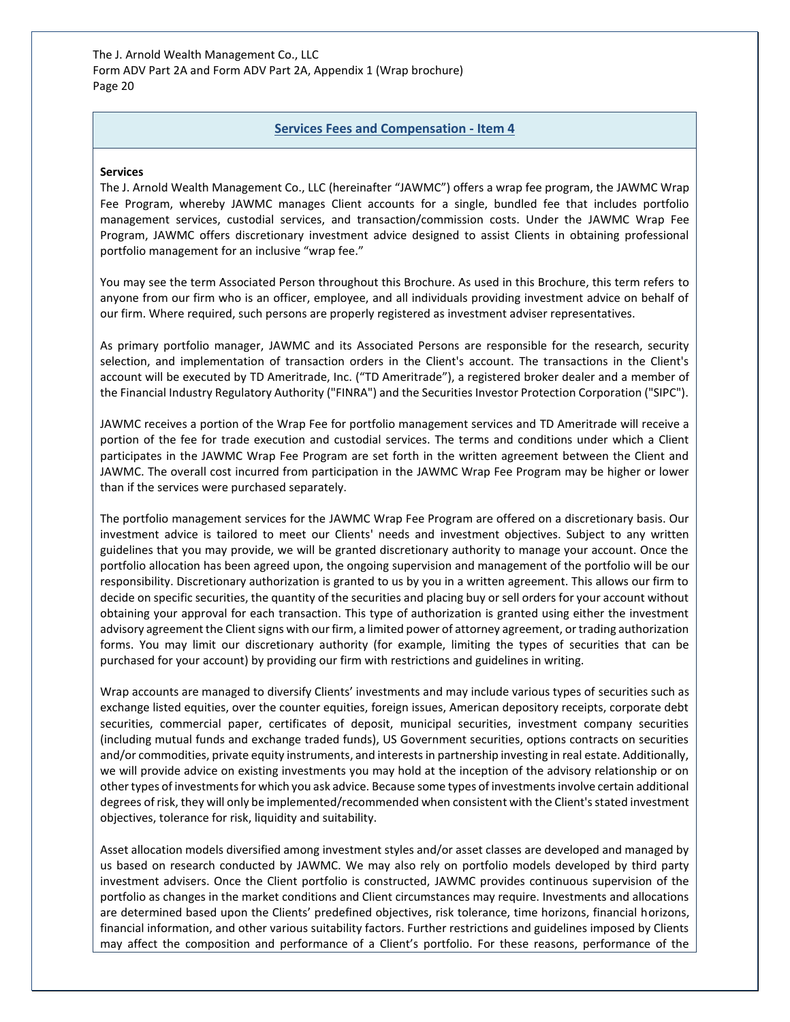#### **Services Fees and Compensation - Item 4**

#### **Services**

The J. Arnold Wealth Management Co., LLC (hereinafter "JAWMC") offers a wrap fee program, the JAWMC Wrap Fee Program, whereby JAWMC manages Client accounts for a single, bundled fee that includes portfolio management services, custodial services, and transaction/commission costs. Under the JAWMC Wrap Fee Program, JAWMC offers discretionary investment advice designed to assist Clients in obtaining professional portfolio management for an inclusive "wrap fee."

You may see the term Associated Person throughout this Brochure. As used in this Brochure, this term refers to anyone from our firm who is an officer, employee, and all individuals providing investment advice on behalf of our firm. Where required, such persons are properly registered as investment adviser representatives.

As primary portfolio manager, JAWMC and its Associated Persons are responsible for the research, security selection, and implementation of transaction orders in the Client's account. The transactions in the Client's account will be executed by TD Ameritrade, Inc. ("TD Ameritrade"), a registered broker dealer and a member of the Financial Industry Regulatory Authority ("FINRA") and the Securities Investor Protection Corporation ("SIPC").

JAWMC receives a portion of the Wrap Fee for portfolio management services and TD Ameritrade will receive a portion of the fee for trade execution and custodial services. The terms and conditions under which a Client participates in the JAWMC Wrap Fee Program are set forth in the written agreement between the Client and JAWMC. The overall cost incurred from participation in the JAWMC Wrap Fee Program may be higher or lower than if the services were purchased separately.

The portfolio management services for the JAWMC Wrap Fee Program are offered on a discretionary basis. Our investment advice is tailored to meet our Clients' needs and investment objectives. Subject to any written guidelines that you may provide, we will be granted discretionary authority to manage your account. Once the portfolio allocation has been agreed upon, the ongoing supervision and management of the portfolio will be our responsibility. Discretionary authorization is granted to us by you in a written agreement. This allows our firm to decide on specific securities, the quantity of the securities and placing buy or sell orders for your account without obtaining your approval for each transaction. This type of authorization is granted using either the investment advisory agreement the Client signs with our firm, a limited power of attorney agreement, or trading authorization forms. You may limit our discretionary authority (for example, limiting the types of securities that can be purchased for your account) by providing our firm with restrictions and guidelines in writing.

Wrap accounts are managed to diversify Clients' investments and may include various types of securities such as exchange listed equities, over the counter equities, foreign issues, American depository receipts, corporate debt securities, commercial paper, certificates of deposit, municipal securities, investment company securities (including mutual funds and exchange traded funds), US Government securities, options contracts on securities and/or commodities, private equity instruments, and interests in partnership investing in real estate. Additionally, we will provide advice on existing investments you may hold at the inception of the advisory relationship or on other types of investments for which you ask advice. Because some types of investments involve certain additional degrees of risk, they will only be implemented/recommended when consistent with the Client's stated investment objectives, tolerance for risk, liquidity and suitability.

Asset allocation models diversified among investment styles and/or asset classes are developed and managed by us based on research conducted by JAWMC. We may also rely on portfolio models developed by third party investment advisers. Once the Client portfolio is constructed, JAWMC provides continuous supervision of the portfolio as changes in the market conditions and Client circumstances may require. Investments and allocations are determined based upon the Clients' predefined objectives, risk tolerance, time horizons, financial horizons, financial information, and other various suitability factors. Further restrictions and guidelines imposed by Clients may affect the composition and performance of a Client's portfolio. For these reasons, performance of the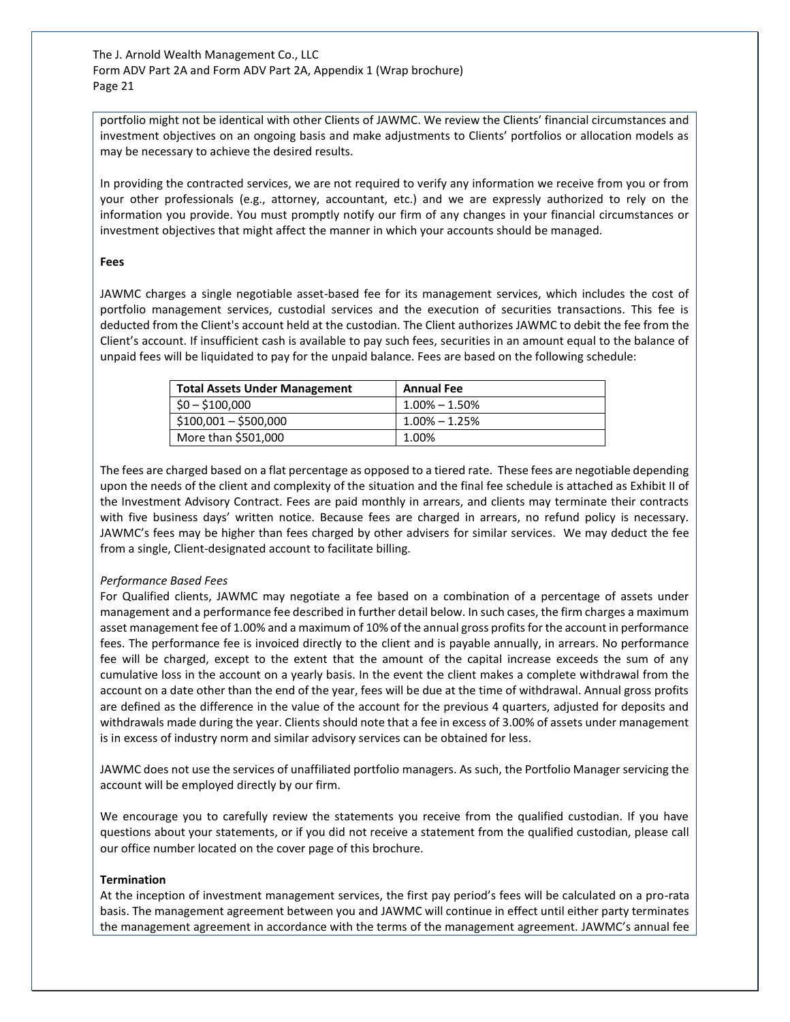portfolio might not be identical with other Clients of JAWMC. We review the Clients' financial circumstances and investment objectives on an ongoing basis and make adjustments to Clients' portfolios or allocation models as may be necessary to achieve the desired results.

In providing the contracted services, we are not required to verify any information we receive from you or from your other professionals (e.g., attorney, accountant, etc.) and we are expressly authorized to rely on the information you provide. You must promptly notify our firm of any changes in your financial circumstances or investment objectives that might affect the manner in which your accounts should be managed.

#### **Fees**

JAWMC charges a single negotiable asset-based fee for its management services, which includes the cost of portfolio management services, custodial services and the execution of securities transactions. This fee is deducted from the Client's account held at the custodian. The Client authorizes JAWMC to debit the fee from the Client's account. If insufficient cash is available to pay such fees, securities in an amount equal to the balance of unpaid fees will be liquidated to pay for the unpaid balance. Fees are based on the following schedule:

| <b>Total Assets Under Management</b> | <b>Annual Fee</b> |
|--------------------------------------|-------------------|
| $$0 - $100,000$                      | $1.00\% - 1.50\%$ |
| $$100,001 - $500,000$                | $1.00\% - 1.25\%$ |
| More than \$501,000                  | 1.00%             |

The fees are charged based on a flat percentage as opposed to a tiered rate. These fees are negotiable depending upon the needs of the client and complexity of the situation and the final fee schedule is attached as Exhibit II of the Investment Advisory Contract. Fees are paid monthly in arrears, and clients may terminate their contracts with five business days' written notice. Because fees are charged in arrears, no refund policy is necessary. JAWMC's fees may be higher than fees charged by other advisers for similar services. We may deduct the fee from a single, Client-designated account to facilitate billing.

## *Performance Based Fees*

For Qualified clients, JAWMC may negotiate a fee based on a combination of a percentage of assets under management and a performance fee described in further detail below. In such cases, the firm charges a maximum asset management fee of 1.00% and a maximum of 10% of the annual gross profits for the account in performance fees. The performance fee is invoiced directly to the client and is payable annually, in arrears. No performance fee will be charged, except to the extent that the amount of the capital increase exceeds the sum of any cumulative loss in the account on a yearly basis. In the event the client makes a complete withdrawal from the account on a date other than the end of the year, fees will be due at the time of withdrawal. Annual gross profits are defined as the difference in the value of the account for the previous 4 quarters, adjusted for deposits and withdrawals made during the year. Clients should note that a fee in excess of 3.00% of assets under management is in excess of industry norm and similar advisory services can be obtained for less.

JAWMC does not use the services of unaffiliated portfolio managers. As such, the Portfolio Manager servicing the account will be employed directly by our firm.

We encourage you to carefully review the statements you receive from the qualified custodian. If you have questions about your statements, or if you did not receive a statement from the qualified custodian, please call our office number located on the cover page of this brochure.

#### **Termination**

At the inception of investment management services, the first pay period's fees will be calculated on a pro-rata basis. The management agreement between you and JAWMC will continue in effect until either party terminates the management agreement in accordance with the terms of the management agreement. JAWMC's annual fee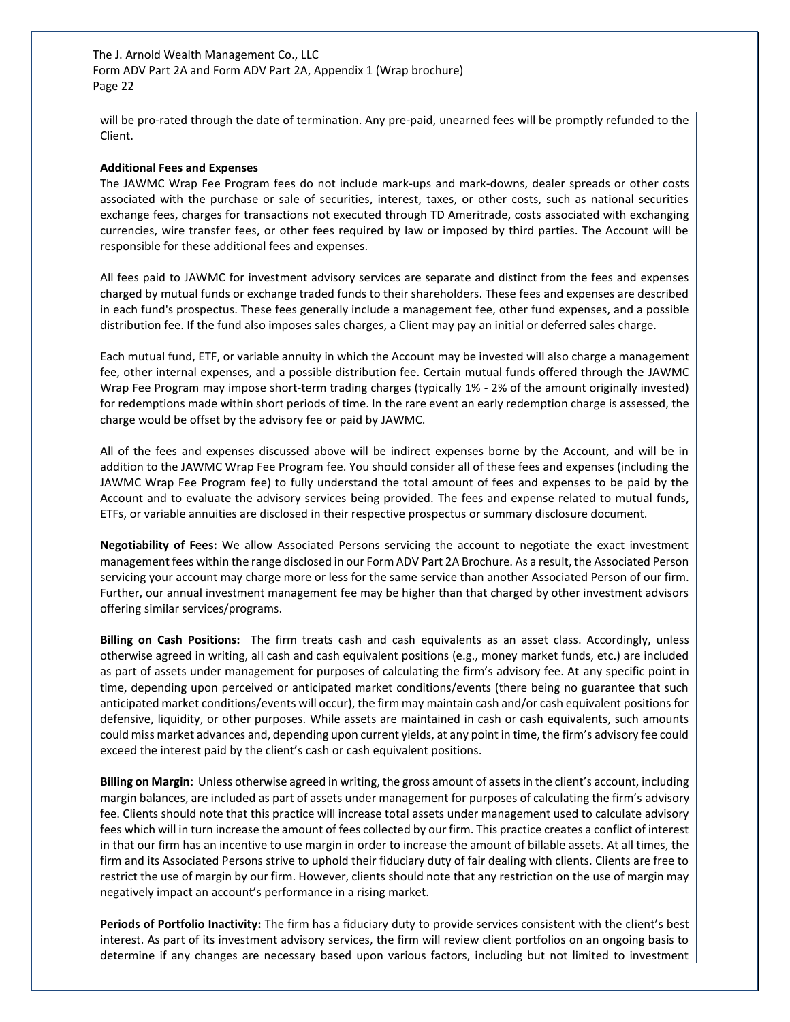will be pro-rated through the date of termination. Any pre-paid, unearned fees will be promptly refunded to the Client.

#### **Additional Fees and Expenses**

The JAWMC Wrap Fee Program fees do not include mark-ups and mark-downs, dealer spreads or other costs associated with the purchase or sale of securities, interest, taxes, or other costs, such as national securities exchange fees, charges for transactions not executed through TD Ameritrade, costs associated with exchanging currencies, wire transfer fees, or other fees required by law or imposed by third parties. The Account will be responsible for these additional fees and expenses.

All fees paid to JAWMC for investment advisory services are separate and distinct from the fees and expenses charged by mutual funds or exchange traded funds to their shareholders. These fees and expenses are described in each fund's prospectus. These fees generally include a management fee, other fund expenses, and a possible distribution fee. If the fund also imposes sales charges, a Client may pay an initial or deferred sales charge.

Each mutual fund, ETF, or variable annuity in which the Account may be invested will also charge a management fee, other internal expenses, and a possible distribution fee. Certain mutual funds offered through the JAWMC Wrap Fee Program may impose short-term trading charges (typically 1% - 2% of the amount originally invested) for redemptions made within short periods of time. In the rare event an early redemption charge is assessed, the charge would be offset by the advisory fee or paid by JAWMC.

All of the fees and expenses discussed above will be indirect expenses borne by the Account, and will be in addition to the JAWMC Wrap Fee Program fee. You should consider all of these fees and expenses (including the JAWMC Wrap Fee Program fee) to fully understand the total amount of fees and expenses to be paid by the Account and to evaluate the advisory services being provided. The fees and expense related to mutual funds, ETFs, or variable annuities are disclosed in their respective prospectus or summary disclosure document.

**Negotiability of Fees:** We allow Associated Persons servicing the account to negotiate the exact investment management fees within the range disclosed in our Form ADV Part 2A Brochure. As a result, the Associated Person servicing your account may charge more or less for the same service than another Associated Person of our firm. Further, our annual investment management fee may be higher than that charged by other investment advisors offering similar services/programs.

**Billing on Cash Positions:** The firm treats cash and cash equivalents as an asset class. Accordingly, unless otherwise agreed in writing, all cash and cash equivalent positions (e.g., money market funds, etc.) are included as part of assets under management for purposes of calculating the firm's advisory fee. At any specific point in time, depending upon perceived or anticipated market conditions/events (there being no guarantee that such anticipated market conditions/events will occur), the firm may maintain cash and/or cash equivalent positions for defensive, liquidity, or other purposes. While assets are maintained in cash or cash equivalents, such amounts could miss market advances and, depending upon current yields, at any point in time, the firm's advisory fee could exceed the interest paid by the client's cash or cash equivalent positions.

**Billing on Margin:** Unless otherwise agreed in writing, the gross amount of assets in the client's account, including margin balances, are included as part of assets under management for purposes of calculating the firm's advisory fee. Clients should note that this practice will increase total assets under management used to calculate advisory fees which will in turn increase the amount of fees collected by our firm. This practice creates a conflict of interest in that our firm has an incentive to use margin in order to increase the amount of billable assets. At all times, the firm and its Associated Persons strive to uphold their fiduciary duty of fair dealing with clients. Clients are free to restrict the use of margin by our firm. However, clients should note that any restriction on the use of margin may negatively impact an account's performance in a rising market.

**Periods of Portfolio Inactivity:** The firm has a fiduciary duty to provide services consistent with the client's best interest. As part of its investment advisory services, the firm will review client portfolios on an ongoing basis to determine if any changes are necessary based upon various factors, including but not limited to investment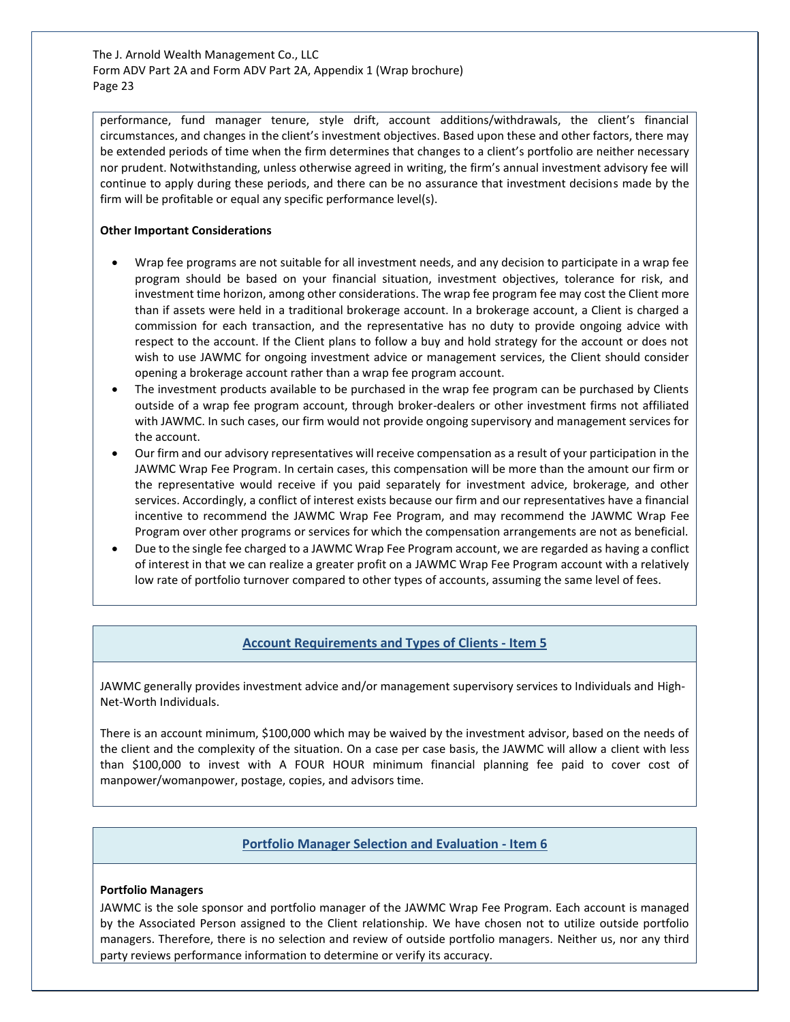performance, fund manager tenure, style drift, account additions/withdrawals, the client's financial circumstances, and changes in the client's investment objectives. Based upon these and other factors, there may be extended periods of time when the firm determines that changes to a client's portfolio are neither necessary nor prudent. Notwithstanding, unless otherwise agreed in writing, the firm's annual investment advisory fee will continue to apply during these periods, and there can be no assurance that investment decisions made by the firm will be profitable or equal any specific performance level(s).

#### **Other Important Considerations**

- Wrap fee programs are not suitable for all investment needs, and any decision to participate in a wrap fee program should be based on your financial situation, investment objectives, tolerance for risk, and investment time horizon, among other considerations. The wrap fee program fee may cost the Client more than if assets were held in a traditional brokerage account. In a brokerage account, a Client is charged a commission for each transaction, and the representative has no duty to provide ongoing advice with respect to the account. If the Client plans to follow a buy and hold strategy for the account or does not wish to use JAWMC for ongoing investment advice or management services, the Client should consider opening a brokerage account rather than a wrap fee program account.
- The investment products available to be purchased in the wrap fee program can be purchased by Clients outside of a wrap fee program account, through broker-dealers or other investment firms not affiliated with JAWMC. In such cases, our firm would not provide ongoing supervisory and management services for the account.
- Our firm and our advisory representatives will receive compensation as a result of your participation in the JAWMC Wrap Fee Program. In certain cases, this compensation will be more than the amount our firm or the representative would receive if you paid separately for investment advice, brokerage, and other services. Accordingly, a conflict of interest exists because our firm and our representatives have a financial incentive to recommend the JAWMC Wrap Fee Program, and may recommend the JAWMC Wrap Fee Program over other programs or services for which the compensation arrangements are not as beneficial.
- Due to the single fee charged to a JAWMC Wrap Fee Program account, we are regarded as having a conflict of interest in that we can realize a greater profit on a JAWMC Wrap Fee Program account with a relatively low rate of portfolio turnover compared to other types of accounts, assuming the same level of fees.

## **Account Requirements and Types of Clients - Item 5**

JAWMC generally provides investment advice and/or management supervisory services to Individuals and High-Net-Worth Individuals.

There is an account minimum, \$100,000 which may be waived by the investment advisor, based on the needs of the client and the complexity of the situation. On a case per case basis, the JAWMC will allow a client with less than \$100,000 to invest with A FOUR HOUR minimum financial planning fee paid to cover cost of manpower/womanpower, postage, copies, and advisors time.

## **Portfolio Manager Selection and Evaluation - Item 6**

#### **Portfolio Managers**

JAWMC is the sole sponsor and portfolio manager of the JAWMC Wrap Fee Program. Each account is managed by the Associated Person assigned to the Client relationship. We have chosen not to utilize outside portfolio managers. Therefore, there is no selection and review of outside portfolio managers. Neither us, nor any third party reviews performance information to determine or verify its accuracy.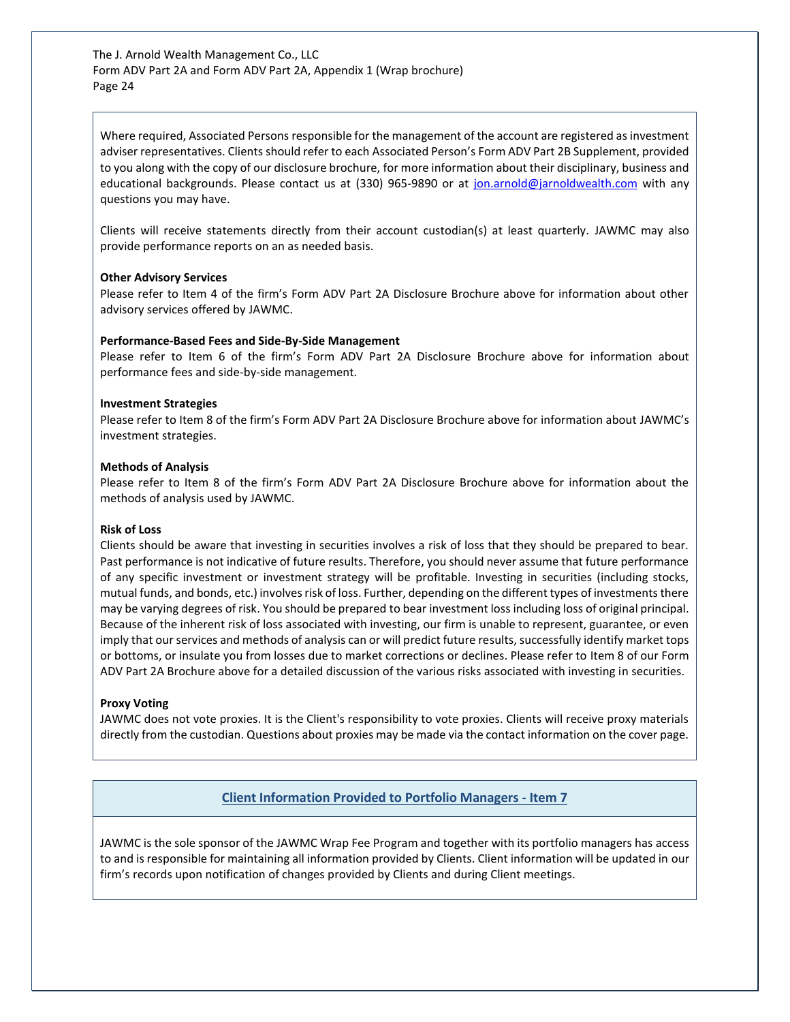Where required, Associated Persons responsible for the management of the account are registered as investment adviser representatives. Clients should refer to each Associated Person's Form ADV Part 2B Supplement, provided to you along with the copy of our disclosure brochure, for more information about their disciplinary, business and educational backgrounds. Please contact us at (330) 965-9890 or at [jon.arnold@jarnoldwealth.com](mailto:jon.arnold@jarnoldwealth.com) with any questions you may have.

Clients will receive statements directly from their account custodian(s) at least quarterly. JAWMC may also provide performance reports on an as needed basis.

#### **Other Advisory Services**

Please refer to Item 4 of the firm's Form ADV Part 2A Disclosure Brochure above for information about other advisory services offered by JAWMC.

#### **Performance-Based Fees and Side-By-Side Management**

Please refer to Item 6 of the firm's Form ADV Part 2A Disclosure Brochure above for information about performance fees and side-by-side management.

#### **Investment Strategies**

Please refer to Item 8 of the firm's Form ADV Part 2A Disclosure Brochure above for information about JAWMC's investment strategies.

#### **Methods of Analysis**

Please refer to Item 8 of the firm's Form ADV Part 2A Disclosure Brochure above for information about the methods of analysis used by JAWMC.

#### **Risk of Loss**

Clients should be aware that investing in securities involves a risk of loss that they should be prepared to bear. Past performance is not indicative of future results. Therefore, you should never assume that future performance of any specific investment or investment strategy will be profitable. Investing in securities (including stocks, mutual funds, and bonds, etc.) involves risk of loss. Further, depending on the different types of investments there may be varying degrees of risk. You should be prepared to bear investment loss including loss of original principal. Because of the inherent risk of loss associated with investing, our firm is unable to represent, guarantee, or even imply that our services and methods of analysis can or will predict future results, successfully identify market tops or bottoms, or insulate you from losses due to market corrections or declines. Please refer to Item 8 of our Form ADV Part 2A Brochure above for a detailed discussion of the various risks associated with investing in securities.

#### **Proxy Voting**

JAWMC does not vote proxies. It is the Client's responsibility to vote proxies. Clients will receive proxy materials directly from the custodian. Questions about proxies may be made via the contact information on the cover page.

#### **Client Information Provided to Portfolio Managers - Item 7**

JAWMC is the sole sponsor of the JAWMC Wrap Fee Program and together with its portfolio managers has access to and is responsible for maintaining all information provided by Clients. Client information will be updated in our firm's records upon notification of changes provided by Clients and during Client meetings.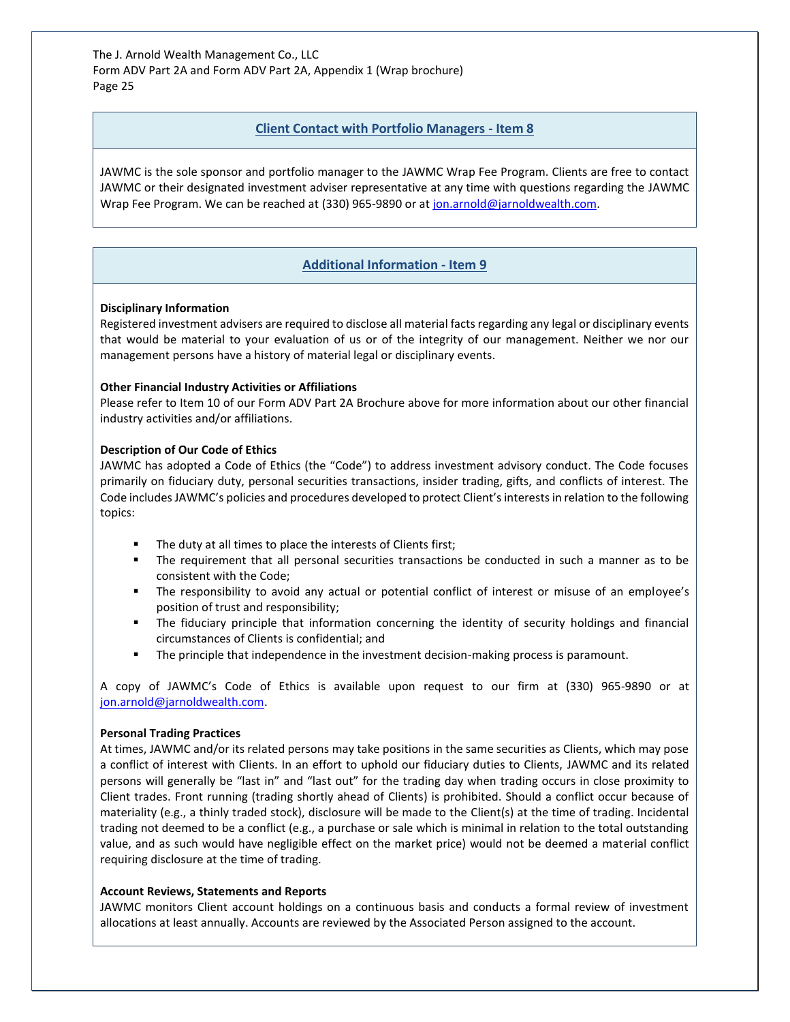## **Client Contact with Portfolio Managers - Item 8**

JAWMC is the sole sponsor and portfolio manager to the JAWMC Wrap Fee Program. Clients are free to contact JAWMC or their designated investment adviser representative at any time with questions regarding the JAWMC Wrap Fee Program. We can be reached at (330) 965-9890 or a[t jon.arnold@jarnoldwealth.com.](mailto:jon.arnold@jarnoldwealth.com)

# **Additional Information - Item 9**

#### **Disciplinary Information**

Registered investment advisers are required to disclose all material facts regarding any legal or disciplinary events that would be material to your evaluation of us or of the integrity of our management. Neither we nor our management persons have a history of material legal or disciplinary events.

## **Other Financial Industry Activities or Affiliations**

Please refer to Item 10 of our Form ADV Part 2A Brochure above for more information about our other financial industry activities and/or affiliations.

#### **Description of Our Code of Ethics**

JAWMC has adopted a Code of Ethics (the "Code") to address investment advisory conduct. The Code focuses primarily on fiduciary duty, personal securities transactions, insider trading, gifts, and conflicts of interest. The Code includes JAWMC's policies and procedures developed to protect Client's interests in relation to the following topics:

- The duty at all times to place the interests of Clients first;
- The requirement that all personal securities transactions be conducted in such a manner as to be consistent with the Code;
- The responsibility to avoid any actual or potential conflict of interest or misuse of an employee's position of trust and responsibility;
- The fiduciary principle that information concerning the identity of security holdings and financial circumstances of Clients is confidential; and
- The principle that independence in the investment decision-making process is paramount.

A copy of JAWMC's Code of Ethics is available upon request to our firm at (330) 965-9890 or at [jon.arnold@jarnoldwealth.com.](mailto:jon.arnold@jarnoldwealth.com)

## **Personal Trading Practices**

At times, JAWMC and/or its related persons may take positions in the same securities as Clients, which may pose a conflict of interest with Clients. In an effort to uphold our fiduciary duties to Clients, JAWMC and its related persons will generally be "last in" and "last out" for the trading day when trading occurs in close proximity to Client trades. Front running (trading shortly ahead of Clients) is prohibited. Should a conflict occur because of materiality (e.g., a thinly traded stock), disclosure will be made to the Client(s) at the time of trading. Incidental trading not deemed to be a conflict (e.g., a purchase or sale which is minimal in relation to the total outstanding value, and as such would have negligible effect on the market price) would not be deemed a material conflict requiring disclosure at the time of trading.

#### **Account Reviews, Statements and Reports**

JAWMC monitors Client account holdings on a continuous basis and conducts a formal review of investment allocations at least annually. Accounts are reviewed by the Associated Person assigned to the account.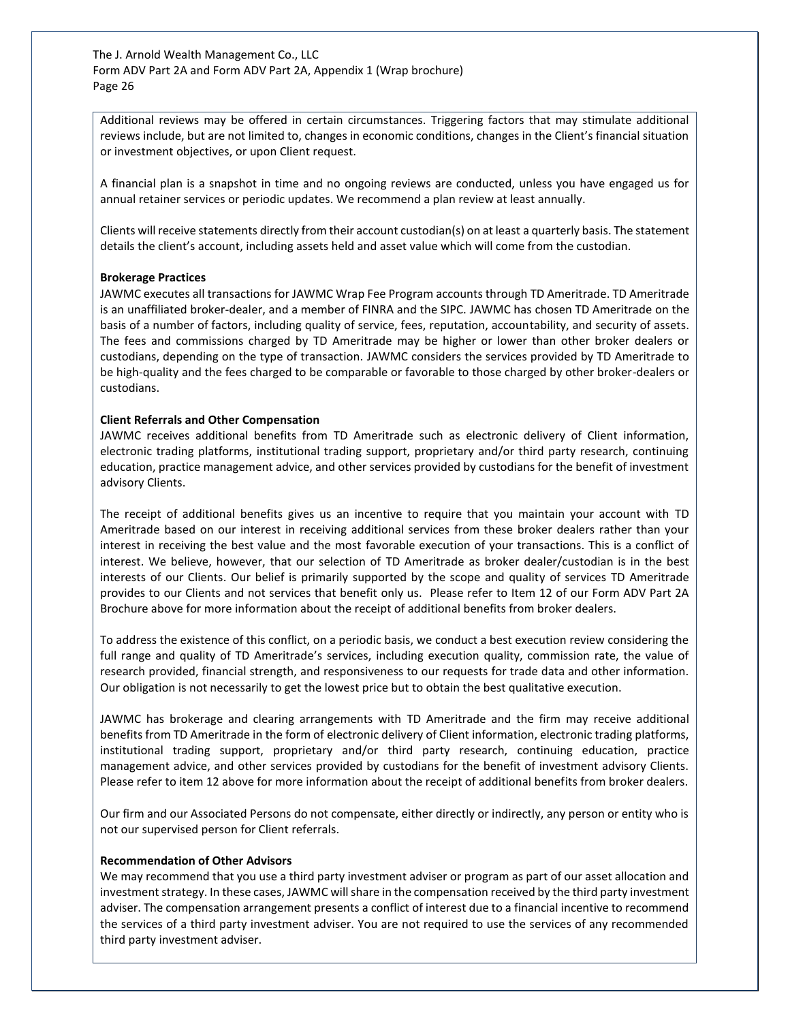Additional reviews may be offered in certain circumstances. Triggering factors that may stimulate additional reviews include, but are not limited to, changes in economic conditions, changes in the Client's financial situation or investment objectives, or upon Client request.

A financial plan is a snapshot in time and no ongoing reviews are conducted, unless you have engaged us for annual retainer services or periodic updates. We recommend a plan review at least annually.

Clients will receive statements directly from their account custodian(s) on at least a quarterly basis. The statement details the client's account, including assets held and asset value which will come from the custodian.

#### **Brokerage Practices**

JAWMC executes all transactions for JAWMC Wrap Fee Program accounts through TD Ameritrade. TD Ameritrade is an unaffiliated broker-dealer, and a member of FINRA and the SIPC. JAWMC has chosen TD Ameritrade on the basis of a number of factors, including quality of service, fees, reputation, accountability, and security of assets. The fees and commissions charged by TD Ameritrade may be higher or lower than other broker dealers or custodians, depending on the type of transaction. JAWMC considers the services provided by TD Ameritrade to be high-quality and the fees charged to be comparable or favorable to those charged by other broker-dealers or custodians.

#### **Client Referrals and Other Compensation**

JAWMC receives additional benefits from TD Ameritrade such as electronic delivery of Client information, electronic trading platforms, institutional trading support, proprietary and/or third party research, continuing education, practice management advice, and other services provided by custodians for the benefit of investment advisory Clients.

The receipt of additional benefits gives us an incentive to require that you maintain your account with TD Ameritrade based on our interest in receiving additional services from these broker dealers rather than your interest in receiving the best value and the most favorable execution of your transactions. This is a conflict of interest. We believe, however, that our selection of TD Ameritrade as broker dealer/custodian is in the best interests of our Clients. Our belief is primarily supported by the scope and quality of services TD Ameritrade provides to our Clients and not services that benefit only us. Please refer to Item 12 of our Form ADV Part 2A Brochure above for more information about the receipt of additional benefits from broker dealers.

To address the existence of this conflict, on a periodic basis, we conduct a best execution review considering the full range and quality of TD Ameritrade's services, including execution quality, commission rate, the value of research provided, financial strength, and responsiveness to our requests for trade data and other information. Our obligation is not necessarily to get the lowest price but to obtain the best qualitative execution.

JAWMC has brokerage and clearing arrangements with TD Ameritrade and the firm may receive additional benefits from TD Ameritrade in the form of electronic delivery of Client information, electronic trading platforms, institutional trading support, proprietary and/or third party research, continuing education, practice management advice, and other services provided by custodians for the benefit of investment advisory Clients. Please refer to item 12 above for more information about the receipt of additional benefits from broker dealers.

Our firm and our Associated Persons do not compensate, either directly or indirectly, any person or entity who is not our supervised person for Client referrals.

#### **Recommendation of Other Advisors**

We may recommend that you use a third party investment adviser or program as part of our asset allocation and investment strategy. In these cases, JAWMC will share in the compensation received by the third party investment adviser. The compensation arrangement presents a conflict of interest due to a financial incentive to recommend the services of a third party investment adviser. You are not required to use the services of any recommended third party investment adviser.